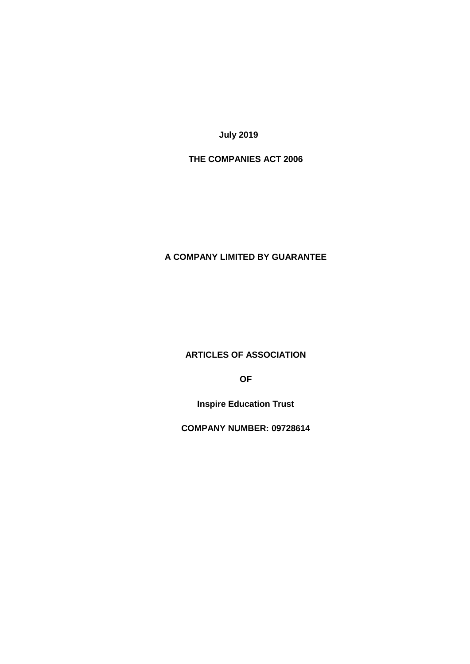**July 2019**

# **THE COMPANIES ACT 2006**

# **A COMPANY LIMITED BY GUARANTEE**

**ARTICLES OF ASSOCIATION**

**OF**

**Inspire Education Trust**

**COMPANY NUMBER: 09728614**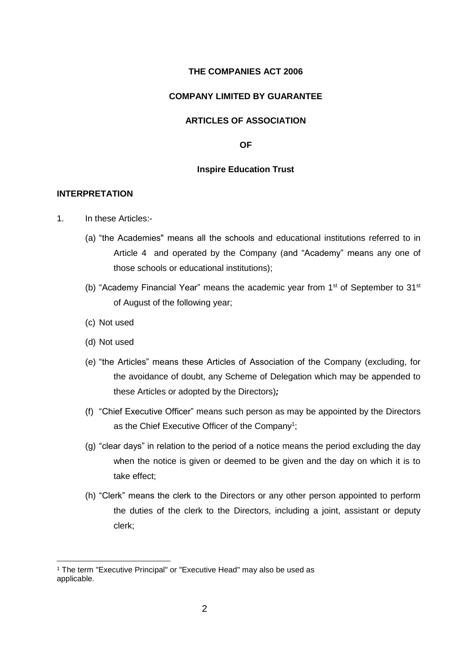#### **THE COMPANIES ACT 2006**

#### **COMPANY LIMITED BY GUARANTEE**

### **ARTICLES OF ASSOCIATION**

**OF**

#### **Inspire Education Trust**

#### **INTERPRETATION**

- 1. In these Articles:-
	- (a) "the Academies" means all the schools and educational institutions referred to in Article 4 and operated by the Company (and "Academy" means any one of those schools or educational institutions);
	- (b) "Academy Financial Year" means the academic year from  $1<sup>st</sup>$  of September to  $31<sup>st</sup>$ of August of the following year;
	- (c) Not used
	- (d) Not used

<u>.</u>

- (e) "the Articles" means these Articles of Association of the Company (excluding, for the avoidance of doubt, any Scheme of Delegation which may be appended to these Articles or adopted by the Directors)*;*
- (f) "Chief Executive Officer" means such person as may be appointed by the Directors as the Chief Executive Officer of the Company<sup>1</sup>;
- (g) "clear days" in relation to the period of a notice means the period excluding the day when the notice is given or deemed to be given and the day on which it is to take effect;
- (h) "Clerk" means the clerk to the Directors or any other person appointed to perform the duties of the clerk to the Directors, including a joint, assistant or deputy clerk;

<sup>1</sup> The term "Executive Principal" or "Executive Head" may also be used as applicable.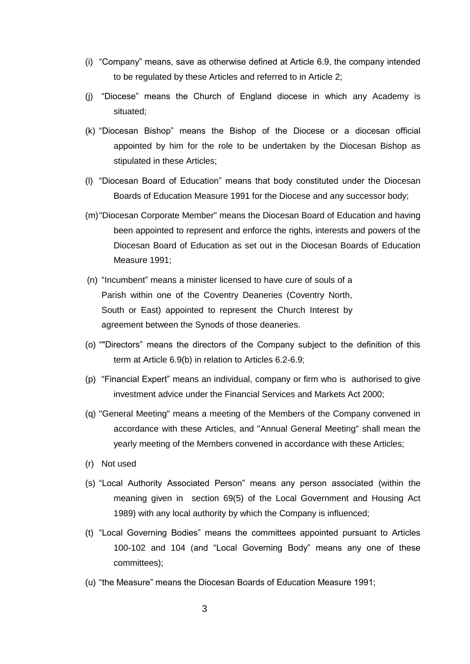- (i) "Company" means, save as otherwise defined at Article 6.9, the company intended to be regulated by these Articles and referred to in Article 2;
- (j) "Diocese" means the Church of England diocese in which any Academy is situated;
- (k) "Diocesan Bishop" means the Bishop of the Diocese or a diocesan official appointed by him for the role to be undertaken by the Diocesan Bishop as stipulated in these Articles;
- (l) "Diocesan Board of Education" means that body constituted under the Diocesan Boards of Education Measure 1991 for the Diocese and any successor body;
- (m)"Diocesan Corporate Member" means the Diocesan Board of Education and having been appointed to represent and enforce the rights, interests and powers of the Diocesan Board of Education as set out in the Diocesan Boards of Education Measure 1991;
- (n) "Incumbent" means a minister licensed to have cure of souls of a Parish within one of the Coventry Deaneries (Coventry North, South or East) appointed to represent the Church Interest by agreement between the Synods of those deaneries.
- (o) ""Directors" means the directors of the Company subject to the definition of this term at Article 6.9(b) in relation to Articles 6.2-6.9;
- (p) "Financial Expert" means an individual, company or firm who is authorised to give investment advice under the Financial Services and Markets Act 2000;
- (q) "General Meeting" means a meeting of the Members of the Company convened in accordance with these Articles, and "Annual General Meeting" shall mean the yearly meeting of the Members convened in accordance with these Articles;
- (r) Not used
- (s) "Local Authority Associated Person" means any person associated (within the meaning given in section 69(5) of the Local Government and Housing Act 1989) with any local authority by which the Company is influenced;
- (t) "Local Governing Bodies" means the committees appointed pursuant to Articles 100-102 and 104 (and "Local Governing Body" means any one of these committees);
- (u) "the Measure" means the Diocesan Boards of Education Measure 1991;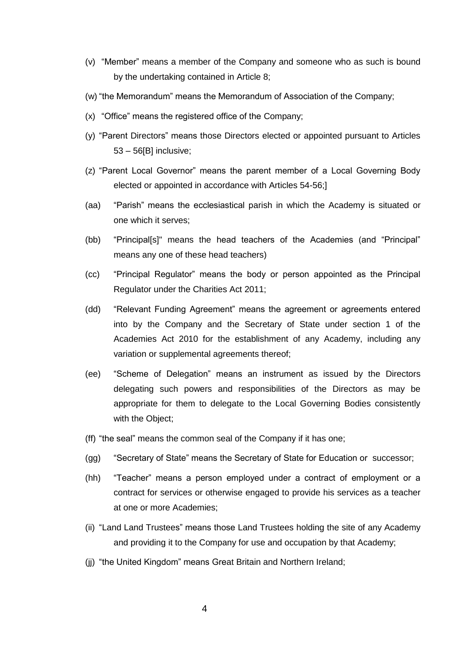- (v) "Member" means a member of the Company and someone who as such is bound by the undertaking contained in Article 8;
- (w) "the Memorandum" means the Memorandum of Association of the Company;
- (x) "Office" means the registered office of the Company;
- (y) "Parent Directors" means those Directors elected or appointed pursuant to Articles 53 – 56[B] inclusive;
- (z) "Parent Local Governor" means the parent member of a Local Governing Body elected or appointed in accordance with Articles 54-56;]
- (aa) "Parish" means the ecclesiastical parish in which the Academy is situated or one which it serves;
- (bb) "Principal[s]" means the head teachers of the Academies (and "Principal" means any one of these head teachers)
- (cc) "Principal Regulator" means the body or person appointed as the Principal Regulator under the Charities Act 2011;
- (dd) "Relevant Funding Agreement" means the agreement or agreements entered into by the Company and the Secretary of State under section 1 of the Academies Act 2010 for the establishment of any Academy, including any variation or supplemental agreements thereof;
- (ee) "Scheme of Delegation" means an instrument as issued by the Directors delegating such powers and responsibilities of the Directors as may be appropriate for them to delegate to the Local Governing Bodies consistently with the Object;
- (ff) "the seal" means the common seal of the Company if it has one;
- (gg) "Secretary of State" means the Secretary of State for Education or successor;
- (hh) "Teacher" means a person employed under a contract of employment or a contract for services or otherwise engaged to provide his services as a teacher at one or more Academies;
- (ii) "Land Land Trustees" means those Land Trustees holding the site of any Academy and providing it to the Company for use and occupation by that Academy;
- (jj) "the United Kingdom" means Great Britain and Northern Ireland;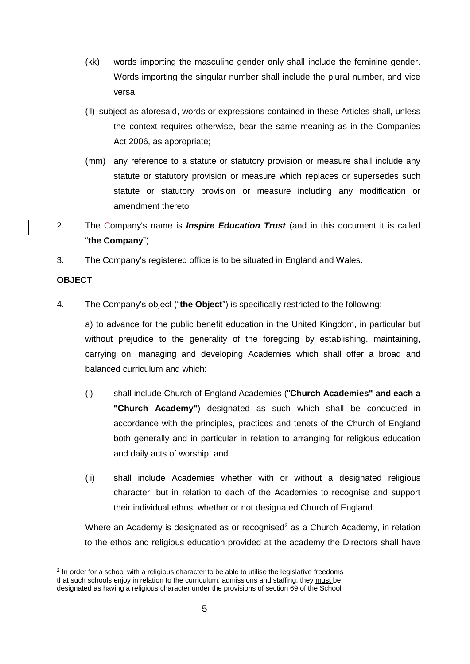- (kk) words importing the masculine gender only shall include the feminine gender. Words importing the singular number shall include the plural number, and vice versa;
- (ll) subject as aforesaid, words or expressions contained in these Articles shall, unless the context requires otherwise, bear the same meaning as in the Companies Act 2006, as appropriate;
- (mm) any reference to a statute or statutory provision or measure shall include any statute or statutory provision or measure which replaces or supersedes such statute or statutory provision or measure including any modification or amendment thereto.
- 2. The Company's name is *Inspire Education Trust* (and in this document it is called "**the Company**").
- 3. The Company's registered office is to be situated in England and Wales.

# **OBJECT**

1

4. The Company's object ("**the Object**") is specifically restricted to the following:

a) to advance for the public benefit education in the United Kingdom, in particular but without prejudice to the generality of the foregoing by establishing, maintaining, carrying on, managing and developing Academies which shall offer a broad and balanced curriculum and which:

- (i) shall include Church of England Academies ("**Church Academies" and each a "Church Academy"**) designated as such which shall be conducted in accordance with the principles, practices and tenets of the Church of England both generally and in particular in relation to arranging for religious education and daily acts of worship, and
- (ii) shall include Academies whether with or without a designated religious character; but in relation to each of the Academies to recognise and support their individual ethos, whether or not designated Church of England.

Where an Academy is designated as or recognised<sup>2</sup> as a Church Academy, in relation to the ethos and religious education provided at the academy the Directors shall have

 $2$  In order for a school with a religious character to be able to utilise the legislative freedoms that such schools enjoy in relation to the curriculum, admissions and staffing, they must be designated as having a religious character under the provisions of section 69 of the School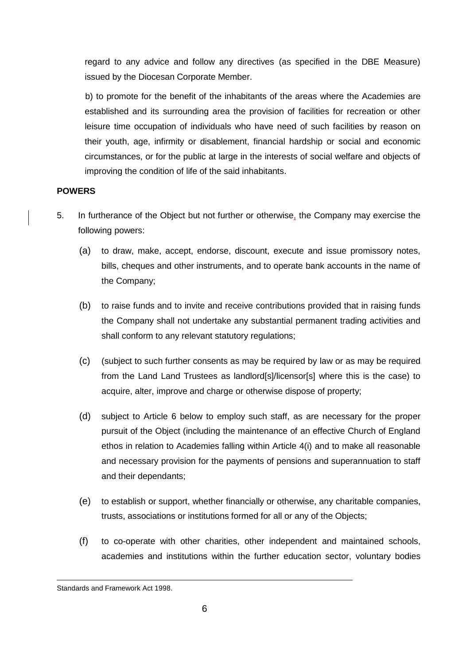regard to any advice and follow any directives (as specified in the DBE Measure) issued by the Diocesan Corporate Member.

b) to promote for the benefit of the inhabitants of the areas where the Academies are established and its surrounding area the provision of facilities for recreation or other leisure time occupation of individuals who have need of such facilities by reason on their youth, age, infirmity or disablement, financial hardship or social and economic circumstances, or for the public at large in the interests of social welfare and objects of improving the condition of life of the said inhabitants.

### **POWERS**

- 5. In furtherance of the Object but not further or otherwise, the Company may exercise the following powers:
	- (a) to draw, make, accept, endorse, discount, execute and issue promissory notes, bills, cheques and other instruments, and to operate bank accounts in the name of the Company;
	- (b) to raise funds and to invite and receive contributions provided that in raising funds the Company shall not undertake any substantial permanent trading activities and shall conform to any relevant statutory regulations;
	- (c) (subject to such further consents as may be required by law or as may be required from the Land Land Trustees as landlord[s]/licensor[s] where this is the case) to acquire, alter, improve and charge or otherwise dispose of property;
	- (d) subject to Article 6 below to employ such staff, as are necessary for the proper pursuit of the Object (including the maintenance of an effective Church of England ethos in relation to Academies falling within Article 4(i) and to make all reasonable and necessary provision for the payments of pensions and superannuation to staff and their dependants;
	- (e) to establish or support, whether financially or otherwise, any charitable companies, trusts, associations or institutions formed for all or any of the Objects;
	- (f) to co-operate with other charities, other independent and maintained schools, academies and institutions within the further education sector, voluntary bodies

<sup>1</sup> Standards and Framework Act 1998.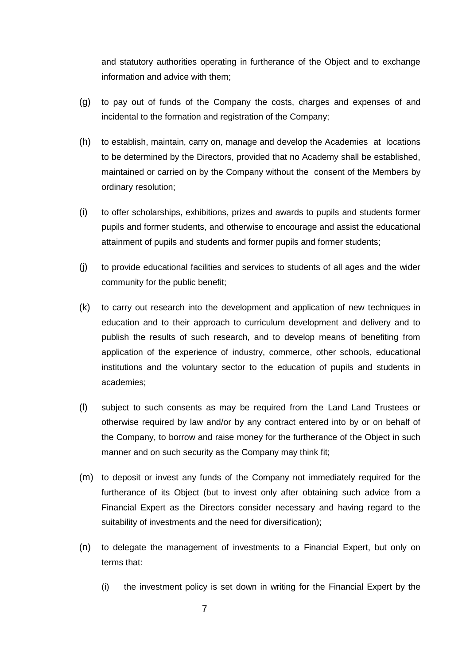and statutory authorities operating in furtherance of the Object and to exchange information and advice with them;

- (g) to pay out of funds of the Company the costs, charges and expenses of and incidental to the formation and registration of the Company;
- (h) to establish, maintain, carry on, manage and develop the Academies at locations to be determined by the Directors, provided that no Academy shall be established, maintained or carried on by the Company without the consent of the Members by ordinary resolution;
- (i) to offer scholarships, exhibitions, prizes and awards to pupils and students former pupils and former students, and otherwise to encourage and assist the educational attainment of pupils and students and former pupils and former students;
- (j) to provide educational facilities and services to students of all ages and the wider community for the public benefit;
- (k) to carry out research into the development and application of new techniques in education and to their approach to curriculum development and delivery and to publish the results of such research, and to develop means of benefiting from application of the experience of industry, commerce, other schools, educational institutions and the voluntary sector to the education of pupils and students in academies;
- (l) subject to such consents as may be required from the Land Land Trustees or otherwise required by law and/or by any contract entered into by or on behalf of the Company, to borrow and raise money for the furtherance of the Object in such manner and on such security as the Company may think fit;
- (m) to deposit or invest any funds of the Company not immediately required for the furtherance of its Object (but to invest only after obtaining such advice from a Financial Expert as the Directors consider necessary and having regard to the suitability of investments and the need for diversification);
- (n) to delegate the management of investments to a Financial Expert, but only on terms that:
	- (i) the investment policy is set down in writing for the Financial Expert by the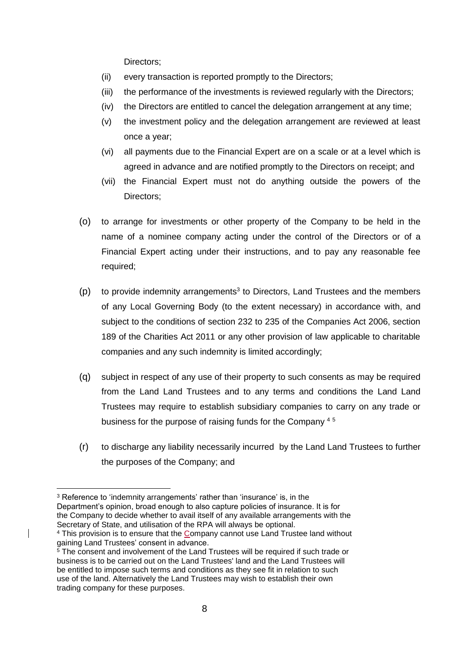Directors;

- (ii) every transaction is reported promptly to the Directors;
- (iii) the performance of the investments is reviewed regularly with the Directors;
- (iv) the Directors are entitled to cancel the delegation arrangement at any time;
- (v) the investment policy and the delegation arrangement are reviewed at least once a year;
- (vi) all payments due to the Financial Expert are on a scale or at a level which is agreed in advance and are notified promptly to the Directors on receipt; and
- (vii) the Financial Expert must not do anything outside the powers of the Directors;
- (o) to arrange for investments or other property of the Company to be held in the name of a nominee company acting under the control of the Directors or of a Financial Expert acting under their instructions, and to pay any reasonable fee required;
- $(p)$  to provide indemnity arrangements<sup>3</sup> to Directors, Land Trustees and the members of any Local Governing Body (to the extent necessary) in accordance with, and subject to the conditions of section 232 to 235 of the Companies Act 2006, section 189 of the Charities Act 2011 or any other provision of law applicable to charitable companies and any such indemnity is limited accordingly;
- (q) subject in respect of any use of their property to such consents as may be required from the Land Land Trustees and to any terms and conditions the Land Land Trustees may require to establish subsidiary companies to carry on any trade or business for the purpose of raising funds for the Company<sup>45</sup>
- (r) to discharge any liability necessarily incurred by the Land Land Trustees to further the purposes of the Company; and

<sup>1</sup> <sup>3</sup> Reference to 'indemnity arrangements' rather than 'insurance' is, in the Department's opinion, broad enough to also capture policies of insurance. It is for the Company to decide whether to avail itself of any available arrangements with the Secretary of State, and utilisation of the RPA will always be optional.

<sup>4</sup> This provision is to ensure that the Company cannot use Land Trustee land without gaining Land Trustees' consent in advance.

 $5$  The consent and involvement of the Land Trustees will be required if such trade or business is to be carried out on the Land Trustees' land and the Land Trustees will be entitled to impose such terms and conditions as they see fit in relation to such use of the land. Alternatively the Land Trustees may wish to establish their own trading company for these purposes.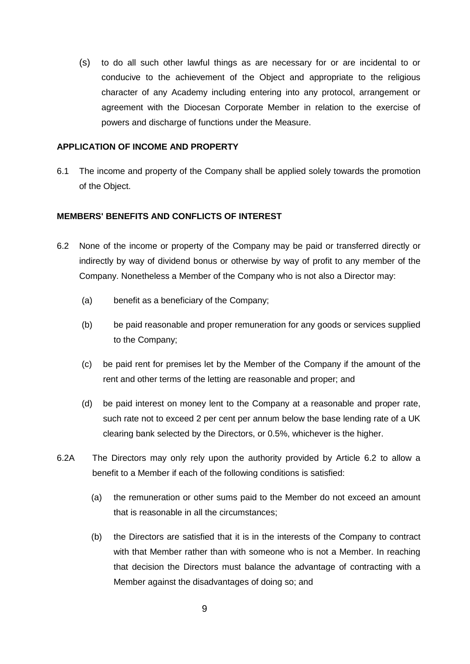(s) to do all such other lawful things as are necessary for or are incidental to or conducive to the achievement of the Object and appropriate to the religious character of any Academy including entering into any protocol, arrangement or agreement with the Diocesan Corporate Member in relation to the exercise of powers and discharge of functions under the Measure.

### **APPLICATION OF INCOME AND PROPERTY**

6.1 The income and property of the Company shall be applied solely towards the promotion of the Object.

### **MEMBERS' BENEFITS AND CONFLICTS OF INTEREST**

- 6.2 None of the income or property of the Company may be paid or transferred directly or indirectly by way of dividend bonus or otherwise by way of profit to any member of the Company. Nonetheless a Member of the Company who is not also a Director may:
	- (a) benefit as a beneficiary of the Company;
	- (b) be paid reasonable and proper remuneration for any goods or services supplied to the Company;
	- (c) be paid rent for premises let by the Member of the Company if the amount of the rent and other terms of the letting are reasonable and proper; and
	- (d) be paid interest on money lent to the Company at a reasonable and proper rate, such rate not to exceed 2 per cent per annum below the base lending rate of a UK clearing bank selected by the Directors, or 0.5%, whichever is the higher.
- 6.2A The Directors may only rely upon the authority provided by Article 6.2 to allow a benefit to a Member if each of the following conditions is satisfied:
	- (a) the remuneration or other sums paid to the Member do not exceed an amount that is reasonable in all the circumstances;
	- (b) the Directors are satisfied that it is in the interests of the Company to contract with that Member rather than with someone who is not a Member. In reaching that decision the Directors must balance the advantage of contracting with a Member against the disadvantages of doing so; and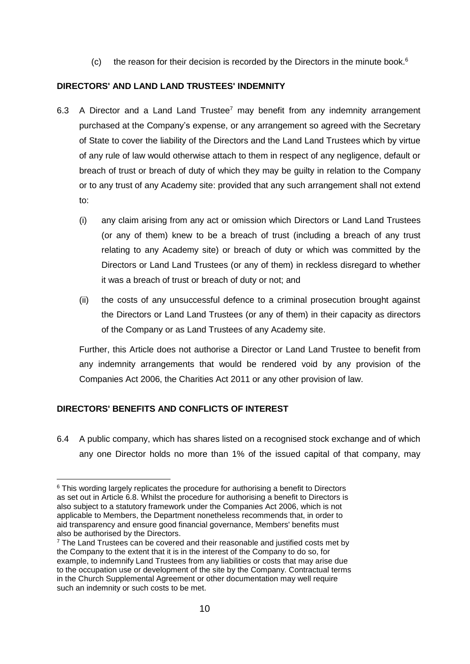(c) the reason for their decision is recorded by the Directors in the minute book. $6$ 

### **DIRECTORS' AND LAND LAND TRUSTEES' INDEMNITY**

- 6.3 A Director and a Land Land Trustee<sup>7</sup> may benefit from any indemnity arrangement purchased at the Company's expense, or any arrangement so agreed with the Secretary of State to cover the liability of the Directors and the Land Land Trustees which by virtue of any rule of law would otherwise attach to them in respect of any negligence, default or breach of trust or breach of duty of which they may be guilty in relation to the Company or to any trust of any Academy site: provided that any such arrangement shall not extend to:
	- (i) any claim arising from any act or omission which Directors or Land Land Trustees (or any of them) knew to be a breach of trust (including a breach of any trust relating to any Academy site) or breach of duty or which was committed by the Directors or Land Land Trustees (or any of them) in reckless disregard to whether it was a breach of trust or breach of duty or not; and
	- (ii) the costs of any unsuccessful defence to a criminal prosecution brought against the Directors or Land Land Trustees (or any of them) in their capacity as directors of the Company or as Land Trustees of any Academy site.

Further, this Article does not authorise a Director or Land Land Trustee to benefit from any indemnity arrangements that would be rendered void by any provision of the Companies Act 2006, the Charities Act 2011 or any other provision of law.

# **DIRECTORS' BENEFITS AND CONFLICTS OF INTEREST**

6.4 A public company, which has shares listed on a recognised stock exchange and of which any one Director holds no more than 1% of the issued capital of that company, may

<sup>1</sup> <sup>6</sup> This wording largely replicates the procedure for authorising a benefit to Directors as set out in Article 6.8. Whilst the procedure for authorising a benefit to Directors is also subject to a statutory framework under the Companies Act 2006, which is not applicable to Members, the Department nonetheless recommends that, in order to aid transparency and ensure good financial governance, Members' benefits must also be authorised by the Directors.

 $7$  The Land Trustees can be covered and their reasonable and justified costs met by the Company to the extent that it is in the interest of the Company to do so, for example, to indemnify Land Trustees from any liabilities or costs that may arise due to the occupation use or development of the site by the Company. Contractual terms in the Church Supplemental Agreement or other documentation may well require such an indemnity or such costs to be met.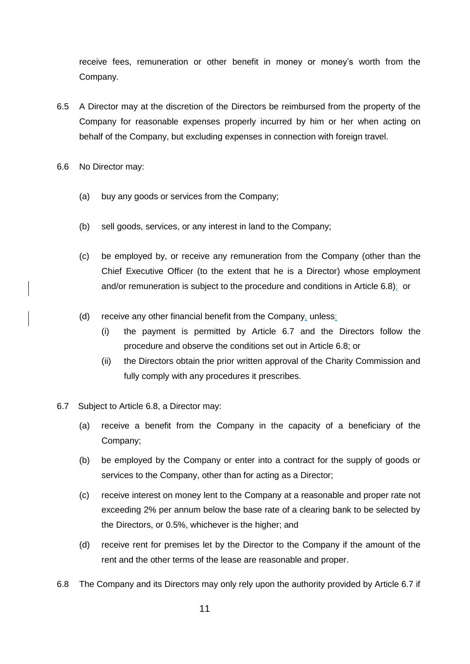receive fees, remuneration or other benefit in money or money's worth from the Company.

- 6.5 A Director may at the discretion of the Directors be reimbursed from the property of the Company for reasonable expenses properly incurred by him or her when acting on behalf of the Company, but excluding expenses in connection with foreign travel.
- 6.6 No Director may:
	- (a) buy any goods or services from the Company;
	- (b) sell goods, services, or any interest in land to the Company;
	- (c) be employed by, or receive any remuneration from the Company (other than the Chief Executive Officer (to the extent that he is a Director) whose employment and/or remuneration is subject to the procedure and conditions in Article 6.8); or
	- (d) receive any other financial benefit from the Company, unless:
		- (i) the payment is permitted by Article 6.7 and the Directors follow the procedure and observe the conditions set out in Article 6.8; or
		- (ii) the Directors obtain the prior written approval of the Charity Commission and fully comply with any procedures it prescribes.
- 6.7 Subject to Article 6.8, a Director may:
	- (a) receive a benefit from the Company in the capacity of a beneficiary of the Company;
	- (b) be employed by the Company or enter into a contract for the supply of goods or services to the Company, other than for acting as a Director;
	- (c) receive interest on money lent to the Company at a reasonable and proper rate not exceeding 2% per annum below the base rate of a clearing bank to be selected by the Directors, or 0.5%, whichever is the higher; and
	- (d) receive rent for premises let by the Director to the Company if the amount of the rent and the other terms of the lease are reasonable and proper.
- 6.8 The Company and its Directors may only rely upon the authority provided by Article 6.7 if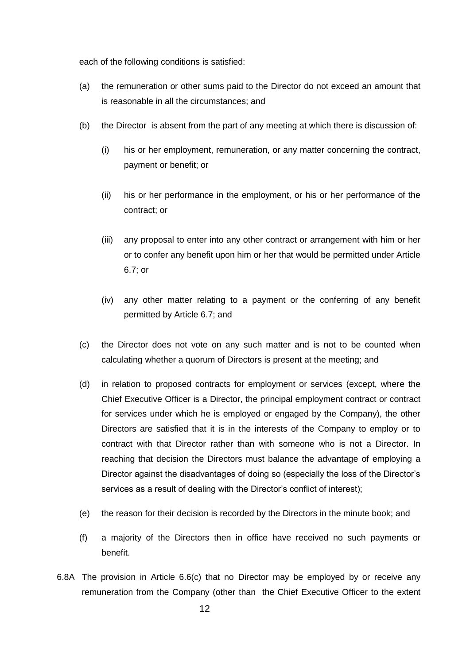each of the following conditions is satisfied:

- (a) the remuneration or other sums paid to the Director do not exceed an amount that is reasonable in all the circumstances; and
- (b) the Director is absent from the part of any meeting at which there is discussion of:
	- (i) his or her employment, remuneration, or any matter concerning the contract, payment or benefit; or
	- (ii) his or her performance in the employment, or his or her performance of the contract; or
	- (iii) any proposal to enter into any other contract or arrangement with him or her or to confer any benefit upon him or her that would be permitted under Article 6.7; or
	- (iv) any other matter relating to a payment or the conferring of any benefit permitted by Article 6.7; and
- (c) the Director does not vote on any such matter and is not to be counted when calculating whether a quorum of Directors is present at the meeting; and
- (d) in relation to proposed contracts for employment or services (except, where the Chief Executive Officer is a Director, the principal employment contract or contract for services under which he is employed or engaged by the Company), the other Directors are satisfied that it is in the interests of the Company to employ or to contract with that Director rather than with someone who is not a Director. In reaching that decision the Directors must balance the advantage of employing a Director against the disadvantages of doing so (especially the loss of the Director's services as a result of dealing with the Director's conflict of interest);
- (e) the reason for their decision is recorded by the Directors in the minute book; and
- (f) a majority of the Directors then in office have received no such payments or benefit.
- 6.8A The provision in Article 6.6(c) that no Director may be employed by or receive any remuneration from the Company (other than the Chief Executive Officer to the extent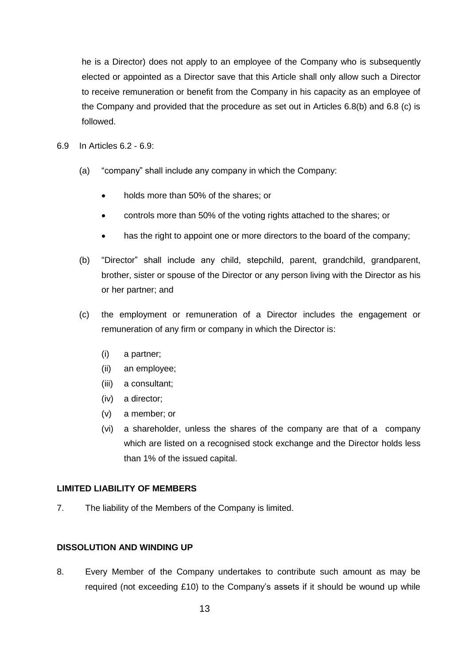he is a Director) does not apply to an employee of the Company who is subsequently elected or appointed as a Director save that this Article shall only allow such a Director to receive remuneration or benefit from the Company in his capacity as an employee of the Company and provided that the procedure as set out in Articles 6.8(b) and 6.8 (c) is followed.

- 6.9 In Articles 6.2 6.9:
	- (a) "company" shall include any company in which the Company:
		- holds more than 50% of the shares; or
		- controls more than 50% of the voting rights attached to the shares; or
		- has the right to appoint one or more directors to the board of the company;
	- (b) "Director" shall include any child, stepchild, parent, grandchild, grandparent, brother, sister or spouse of the Director or any person living with the Director as his or her partner; and
	- (c) the employment or remuneration of a Director includes the engagement or remuneration of any firm or company in which the Director is:
		- (i) a partner;
		- (ii) an employee;
		- (iii) a consultant;
		- (iv) a director;
		- (v) a member; or
		- (vi) a shareholder, unless the shares of the company are that of a company which are listed on a recognised stock exchange and the Director holds less than 1% of the issued capital.

#### **LIMITED LIABILITY OF MEMBERS**

7. The liability of the Members of the Company is limited.

#### **DISSOLUTION AND WINDING UP**

8. Every Member of the Company undertakes to contribute such amount as may be required (not exceeding £10) to the Company's assets if it should be wound up while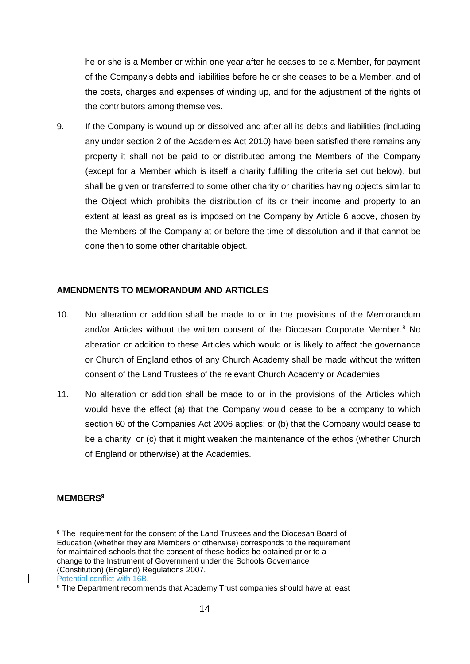he or she is a Member or within one year after he ceases to be a Member, for payment of the Company's debts and liabilities before he or she ceases to be a Member, and of the costs, charges and expenses of winding up, and for the adjustment of the rights of the contributors among themselves.

9. If the Company is wound up or dissolved and after all its debts and liabilities (including any under section 2 of the Academies Act 2010) have been satisfied there remains any property it shall not be paid to or distributed among the Members of the Company (except for a Member which is itself a charity fulfilling the criteria set out below), but shall be given or transferred to some other charity or charities having objects similar to the Object which prohibits the distribution of its or their income and property to an extent at least as great as is imposed on the Company by Article 6 above, chosen by the Members of the Company at or before the time of dissolution and if that cannot be done then to some other charitable object.

#### **AMENDMENTS TO MEMORANDUM AND ARTICLES**

- 10. No alteration or addition shall be made to or in the provisions of the Memorandum and/or Articles without the written consent of the Diocesan Corporate Member.<sup>8</sup> No alteration or addition to these Articles which would or is likely to affect the governance or Church of England ethos of any Church Academy shall be made without the written consent of the Land Trustees of the relevant Church Academy or Academies.
- 11. No alteration or addition shall be made to or in the provisions of the Articles which would have the effect (a) that the Company would cease to be a company to which section 60 of the Companies Act 2006 applies; or (b) that the Company would cease to be a charity; or (c) that it might weaken the maintenance of the ethos (whether Church of England or otherwise) at the Academies.

### **MEMBERS<sup>9</sup>**

1

<sup>8</sup> The requirement for the consent of the Land Trustees and the Diocesan Board of Education (whether they are Members or otherwise) corresponds to the requirement for maintained schools that the consent of these bodies be obtained prior to a change to the Instrument of Government under the Schools Governance (Constitution) (England) Regulations 2007. Potential conflict with 16B.

<sup>&</sup>lt;sup>9</sup> The Department recommends that Academy Trust companies should have at least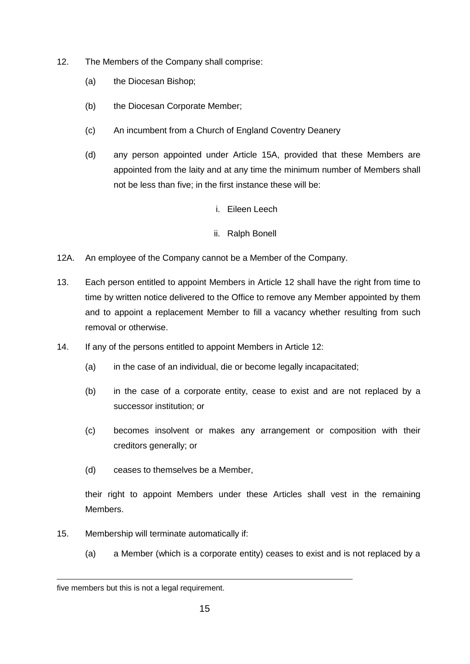- 12. The Members of the Company shall comprise:
	- (a) the Diocesan Bishop;
	- (b) the Diocesan Corporate Member;
	- (c) An incumbent from a Church of England Coventry Deanery
	- (d) any person appointed under Article 15A, provided that these Members are appointed from the laity and at any time the minimum number of Members shall not be less than five; in the first instance these will be:
		- i. Eileen Leech
		- ii. Ralph Bonell
- 12A. An employee of the Company cannot be a Member of the Company.
- 13. Each person entitled to appoint Members in Article 12 shall have the right from time to time by written notice delivered to the Office to remove any Member appointed by them and to appoint a replacement Member to fill a vacancy whether resulting from such removal or otherwise.
- 14. If any of the persons entitled to appoint Members in Article 12:
	- (a) in the case of an individual, die or become legally incapacitated;
	- (b) in the case of a corporate entity, cease to exist and are not replaced by a successor institution; or
	- (c) becomes insolvent or makes any arrangement or composition with their creditors generally; or
	- (d) ceases to themselves be a Member,

their right to appoint Members under these Articles shall vest in the remaining Members.

- 15. Membership will terminate automatically if:
	- (a) a Member (which is a corporate entity) ceases to exist and is not replaced by a

1

five members but this is not a legal requirement.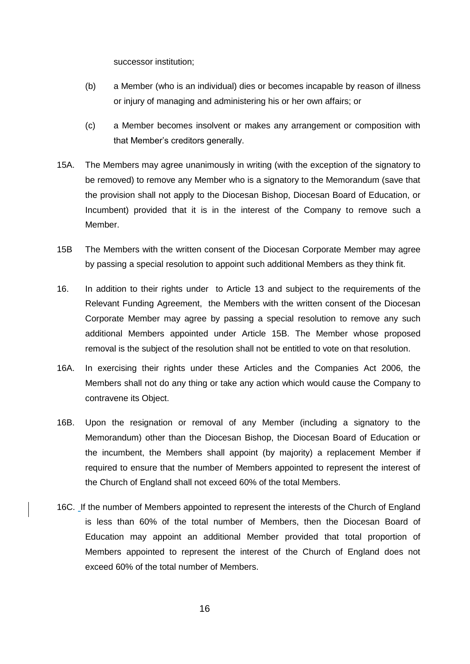successor institution;

- (b) a Member (who is an individual) dies or becomes incapable by reason of illness or injury of managing and administering his or her own affairs; or
- (c) a Member becomes insolvent or makes any arrangement or composition with that Member's creditors generally.
- 15A. The Members may agree unanimously in writing (with the exception of the signatory to be removed) to remove any Member who is a signatory to the Memorandum (save that the provision shall not apply to the Diocesan Bishop, Diocesan Board of Education, or Incumbent) provided that it is in the interest of the Company to remove such a Member.
- 15B The Members with the written consent of the Diocesan Corporate Member may agree by passing a special resolution to appoint such additional Members as they think fit.
- 16. In addition to their rights under to Article 13 and subject to the requirements of the Relevant Funding Agreement, the Members with the written consent of the Diocesan Corporate Member may agree by passing a special resolution to remove any such additional Members appointed under Article 15B. The Member whose proposed removal is the subject of the resolution shall not be entitled to vote on that resolution.
- 16A. In exercising their rights under these Articles and the Companies Act 2006, the Members shall not do any thing or take any action which would cause the Company to contravene its Object.
- 16B. Upon the resignation or removal of any Member (including a signatory to the Memorandum) other than the Diocesan Bishop, the Diocesan Board of Education or the incumbent, the Members shall appoint (by majority) a replacement Member if required to ensure that the number of Members appointed to represent the interest of the Church of England shall not exceed 60% of the total Members.
- 16C. If the number of Members appointed to represent the interests of the Church of England is less than 60% of the total number of Members, then the Diocesan Board of Education may appoint an additional Member provided that total proportion of Members appointed to represent the interest of the Church of England does not exceed 60% of the total number of Members.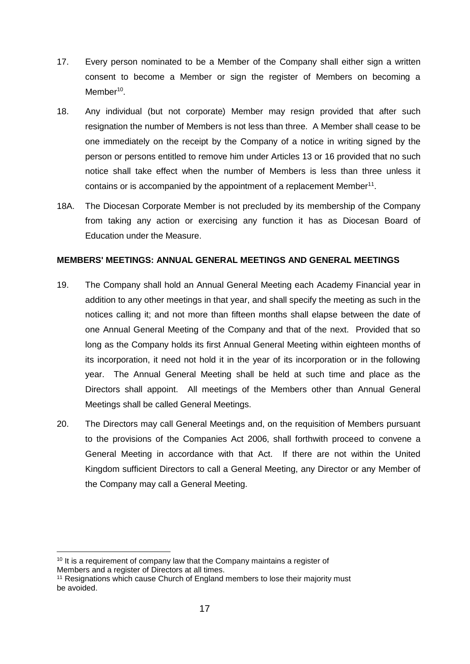- 17. Every person nominated to be a Member of the Company shall either sign a written consent to become a Member or sign the register of Members on becoming a Member<sup>10</sup>.
- 18. Any individual (but not corporate) Member may resign provided that after such resignation the number of Members is not less than three. A Member shall cease to be one immediately on the receipt by the Company of a notice in writing signed by the person or persons entitled to remove him under Articles 13 or 16 provided that no such notice shall take effect when the number of Members is less than three unless it contains or is accompanied by the appointment of a replacement Member $11$ .
- 18A. The Diocesan Corporate Member is not precluded by its membership of the Company from taking any action or exercising any function it has as Diocesan Board of Education under the Measure.

### **MEMBERS' MEETINGS: ANNUAL GENERAL MEETINGS AND GENERAL MEETINGS**

- 19. The Company shall hold an Annual General Meeting each Academy Financial year in addition to any other meetings in that year, and shall specify the meeting as such in the notices calling it; and not more than fifteen months shall elapse between the date of one Annual General Meeting of the Company and that of the next. Provided that so long as the Company holds its first Annual General Meeting within eighteen months of its incorporation, it need not hold it in the year of its incorporation or in the following year. The Annual General Meeting shall be held at such time and place as the Directors shall appoint. All meetings of the Members other than Annual General Meetings shall be called General Meetings.
- 20. The Directors may call General Meetings and, on the requisition of Members pursuant to the provisions of the Companies Act 2006, shall forthwith proceed to convene a General Meeting in accordance with that Act. If there are not within the United Kingdom sufficient Directors to call a General Meeting, any Director or any Member of the Company may call a General Meeting.

<sup>1</sup> <sup>10</sup> It is a requirement of company law that the Company maintains a register of Members and a register of Directors at all times.

<sup>&</sup>lt;sup>11</sup> Resignations which cause Church of England members to lose their majority must be avoided.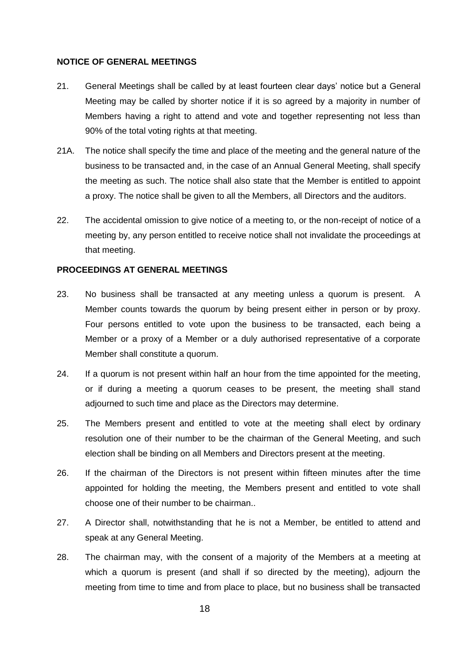#### **NOTICE OF GENERAL MEETINGS**

- 21. General Meetings shall be called by at least fourteen clear days' notice but a General Meeting may be called by shorter notice if it is so agreed by a majority in number of Members having a right to attend and vote and together representing not less than 90% of the total voting rights at that meeting.
- 21A. The notice shall specify the time and place of the meeting and the general nature of the business to be transacted and, in the case of an Annual General Meeting, shall specify the meeting as such. The notice shall also state that the Member is entitled to appoint a proxy. The notice shall be given to all the Members, all Directors and the auditors.
- 22. The accidental omission to give notice of a meeting to, or the non-receipt of notice of a meeting by, any person entitled to receive notice shall not invalidate the proceedings at that meeting.

#### **PROCEEDINGS AT GENERAL MEETINGS**

- 23. No business shall be transacted at any meeting unless a quorum is present. A Member counts towards the quorum by being present either in person or by proxy. Four persons entitled to vote upon the business to be transacted, each being a Member or a proxy of a Member or a duly authorised representative of a corporate Member shall constitute a quorum.
- 24. If a quorum is not present within half an hour from the time appointed for the meeting, or if during a meeting a quorum ceases to be present, the meeting shall stand adjourned to such time and place as the Directors may determine.
- 25. The Members present and entitled to vote at the meeting shall elect by ordinary resolution one of their number to be the chairman of the General Meeting, and such election shall be binding on all Members and Directors present at the meeting.
- 26. If the chairman of the Directors is not present within fifteen minutes after the time appointed for holding the meeting, the Members present and entitled to vote shall choose one of their number to be chairman..
- 27. A Director shall, notwithstanding that he is not a Member, be entitled to attend and speak at any General Meeting.
- 28. The chairman may, with the consent of a majority of the Members at a meeting at which a quorum is present (and shall if so directed by the meeting), adjourn the meeting from time to time and from place to place, but no business shall be transacted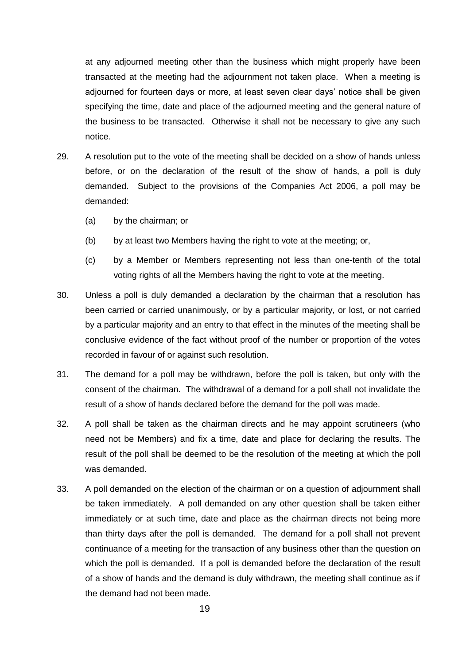at any adjourned meeting other than the business which might properly have been transacted at the meeting had the adjournment not taken place. When a meeting is adjourned for fourteen days or more, at least seven clear days' notice shall be given specifying the time, date and place of the adjourned meeting and the general nature of the business to be transacted. Otherwise it shall not be necessary to give any such notice.

- 29. A resolution put to the vote of the meeting shall be decided on a show of hands unless before, or on the declaration of the result of the show of hands, a poll is duly demanded. Subject to the provisions of the Companies Act 2006, a poll may be demanded:
	- (a) by the chairman; or
	- (b) by at least two Members having the right to vote at the meeting; or,
	- (c) by a Member or Members representing not less than one-tenth of the total voting rights of all the Members having the right to vote at the meeting.
- 30. Unless a poll is duly demanded a declaration by the chairman that a resolution has been carried or carried unanimously, or by a particular majority, or lost, or not carried by a particular majority and an entry to that effect in the minutes of the meeting shall be conclusive evidence of the fact without proof of the number or proportion of the votes recorded in favour of or against such resolution.
- 31. The demand for a poll may be withdrawn, before the poll is taken, but only with the consent of the chairman. The withdrawal of a demand for a poll shall not invalidate the result of a show of hands declared before the demand for the poll was made.
- 32. A poll shall be taken as the chairman directs and he may appoint scrutineers (who need not be Members) and fix a time, date and place for declaring the results. The result of the poll shall be deemed to be the resolution of the meeting at which the poll was demanded.
- 33. A poll demanded on the election of the chairman or on a question of adjournment shall be taken immediately. A poll demanded on any other question shall be taken either immediately or at such time, date and place as the chairman directs not being more than thirty days after the poll is demanded. The demand for a poll shall not prevent continuance of a meeting for the transaction of any business other than the question on which the poll is demanded. If a poll is demanded before the declaration of the result of a show of hands and the demand is duly withdrawn, the meeting shall continue as if the demand had not been made.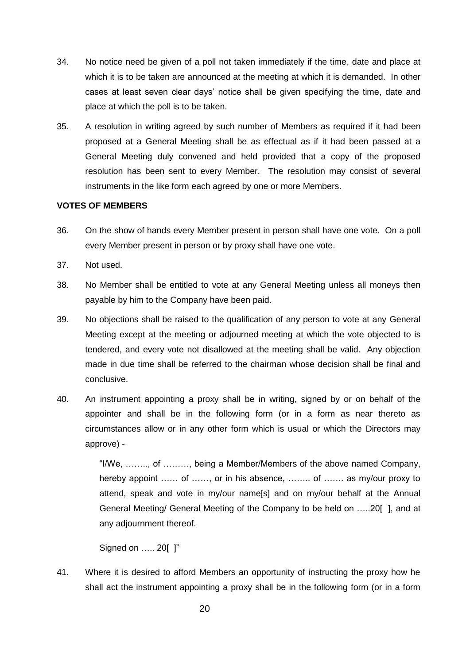- 34. No notice need be given of a poll not taken immediately if the time, date and place at which it is to be taken are announced at the meeting at which it is demanded. In other cases at least seven clear days' notice shall be given specifying the time, date and place at which the poll is to be taken.
- 35. A resolution in writing agreed by such number of Members as required if it had been proposed at a General Meeting shall be as effectual as if it had been passed at a General Meeting duly convened and held provided that a copy of the proposed resolution has been sent to every Member. The resolution may consist of several instruments in the like form each agreed by one or more Members.

### **VOTES OF MEMBERS**

- 36. On the show of hands every Member present in person shall have one vote. On a poll every Member present in person or by proxy shall have one vote.
- 37. Not used.
- 38. No Member shall be entitled to vote at any General Meeting unless all moneys then payable by him to the Company have been paid.
- 39. No objections shall be raised to the qualification of any person to vote at any General Meeting except at the meeting or adjourned meeting at which the vote objected to is tendered, and every vote not disallowed at the meeting shall be valid. Any objection made in due time shall be referred to the chairman whose decision shall be final and conclusive.
- 40. An instrument appointing a proxy shall be in writing, signed by or on behalf of the appointer and shall be in the following form (or in a form as near thereto as circumstances allow or in any other form which is usual or which the Directors may approve) -

"I/We, …….., of ………, being a Member/Members of the above named Company, hereby appoint …… of ……, or in his absence, ……. of …… as my/our proxy to attend, speak and vote in my/our name[s] and on my/our behalf at the Annual General Meeting/ General Meeting of the Company to be held on …..20[ ], and at any adjournment thereof.

Signed on ….. 20[ ]"

41. Where it is desired to afford Members an opportunity of instructing the proxy how he shall act the instrument appointing a proxy shall be in the following form (or in a form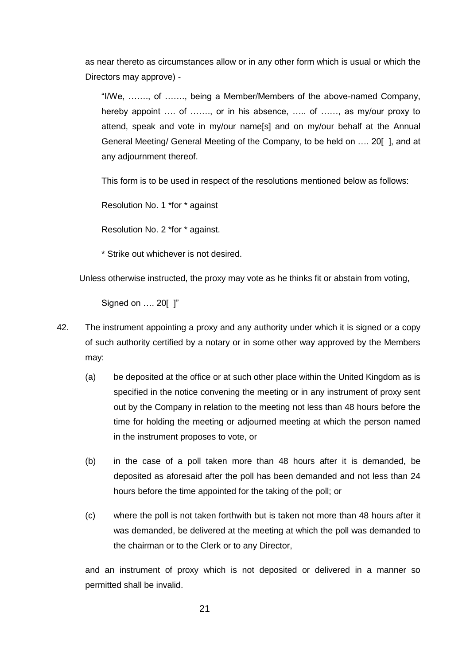as near thereto as circumstances allow or in any other form which is usual or which the Directors may approve) -

"I/We, ……., of ……., being a Member/Members of the above-named Company, hereby appoint .... of ......., or in his absence, ..... of ......, as my/our proxy to attend, speak and vote in my/our name[s] and on my/our behalf at the Annual General Meeting/ General Meeting of the Company, to be held on …. 20[ ], and at any adjournment thereof.

This form is to be used in respect of the resolutions mentioned below as follows:

Resolution No. 1 \*for \* against

Resolution No. 2 \*for \* against.

\* Strike out whichever is not desired.

Unless otherwise instructed, the proxy may vote as he thinks fit or abstain from voting,

Signed on …. 20[ ]"

- 42. The instrument appointing a proxy and any authority under which it is signed or a copy of such authority certified by a notary or in some other way approved by the Members may:
	- (a) be deposited at the office or at such other place within the United Kingdom as is specified in the notice convening the meeting or in any instrument of proxy sent out by the Company in relation to the meeting not less than 48 hours before the time for holding the meeting or adjourned meeting at which the person named in the instrument proposes to vote, or
	- (b) in the case of a poll taken more than 48 hours after it is demanded, be deposited as aforesaid after the poll has been demanded and not less than 24 hours before the time appointed for the taking of the poll; or
	- (c) where the poll is not taken forthwith but is taken not more than 48 hours after it was demanded, be delivered at the meeting at which the poll was demanded to the chairman or to the Clerk or to any Director,

and an instrument of proxy which is not deposited or delivered in a manner so permitted shall be invalid.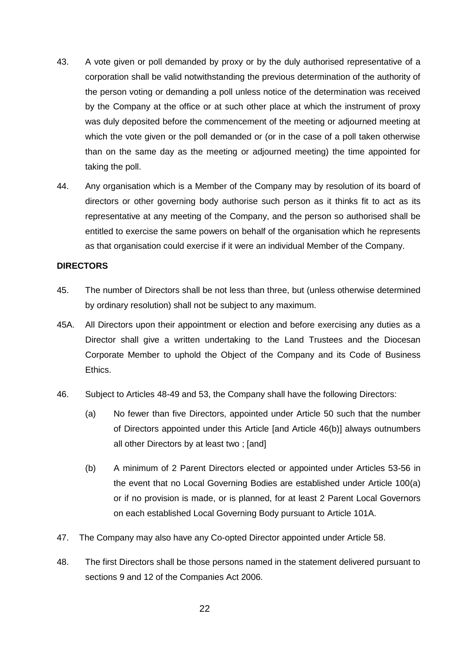- 43. A vote given or poll demanded by proxy or by the duly authorised representative of a corporation shall be valid notwithstanding the previous determination of the authority of the person voting or demanding a poll unless notice of the determination was received by the Company at the office or at such other place at which the instrument of proxy was duly deposited before the commencement of the meeting or adjourned meeting at which the vote given or the poll demanded or (or in the case of a poll taken otherwise than on the same day as the meeting or adjourned meeting) the time appointed for taking the poll.
- 44. Any organisation which is a Member of the Company may by resolution of its board of directors or other governing body authorise such person as it thinks fit to act as its representative at any meeting of the Company, and the person so authorised shall be entitled to exercise the same powers on behalf of the organisation which he represents as that organisation could exercise if it were an individual Member of the Company.

### **DIRECTORS**

- 45. The number of Directors shall be not less than three, but (unless otherwise determined by ordinary resolution) shall not be subject to any maximum.
- 45A. All Directors upon their appointment or election and before exercising any duties as a Director shall give a written undertaking to the Land Trustees and the Diocesan Corporate Member to uphold the Object of the Company and its Code of Business Ethics.
- 46. Subject to Articles 48-49 and 53, the Company shall have the following Directors:
	- (a) No fewer than five Directors, appointed under Article 50 such that the number of Directors appointed under this Article [and Article 46(b)] always outnumbers all other Directors by at least two ; [and]
	- (b) A minimum of 2 Parent Directors elected or appointed under Articles 53-56 in the event that no Local Governing Bodies are established under Article 100(a) or if no provision is made, or is planned, for at least 2 Parent Local Governors on each established Local Governing Body pursuant to Article 101A.
- 47. The Company may also have any Co-opted Director appointed under Article 58.
- 48. The first Directors shall be those persons named in the statement delivered pursuant to sections 9 and 12 of the Companies Act 2006.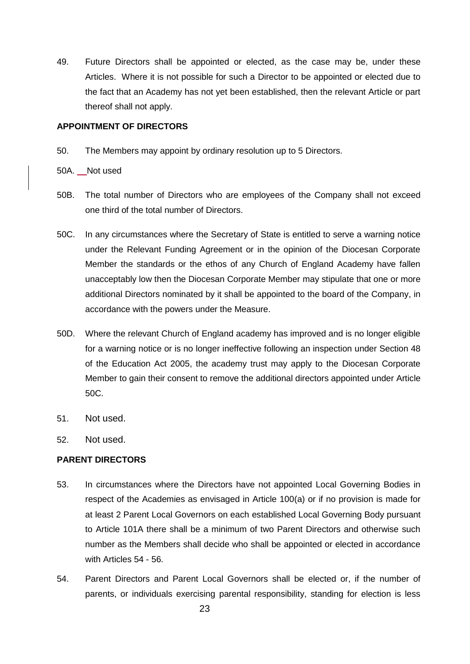49. Future Directors shall be appointed or elected, as the case may be, under these Articles. Where it is not possible for such a Director to be appointed or elected due to the fact that an Academy has not yet been established, then the relevant Article or part thereof shall not apply.

#### **APPOINTMENT OF DIRECTORS**

- 50. The Members may appoint by ordinary resolution up to 5 Directors.
- 50A. Not used
- 50B. The total number of Directors who are employees of the Company shall not exceed one third of the total number of Directors.
- 50C. In any circumstances where the Secretary of State is entitled to serve a warning notice under the Relevant Funding Agreement or in the opinion of the Diocesan Corporate Member the standards or the ethos of any Church of England Academy have fallen unacceptably low then the Diocesan Corporate Member may stipulate that one or more additional Directors nominated by it shall be appointed to the board of the Company, in accordance with the powers under the Measure.
- 50D. Where the relevant Church of England academy has improved and is no longer eligible for a warning notice or is no longer ineffective following an inspection under Section 48 of the Education Act 2005, the academy trust may apply to the Diocesan Corporate Member to gain their consent to remove the additional directors appointed under Article 50C.
- 51. Not used.
- 52. Not used.

### **PARENT DIRECTORS**

- 53. In circumstances where the Directors have not appointed Local Governing Bodies in respect of the Academies as envisaged in Article 100(a) or if no provision is made for at least 2 Parent Local Governors on each established Local Governing Body pursuant to Article 101A there shall be a minimum of two Parent Directors and otherwise such number as the Members shall decide who shall be appointed or elected in accordance with Articles 54 - 56.
- 54. Parent Directors and Parent Local Governors shall be elected or, if the number of parents, or individuals exercising parental responsibility, standing for election is less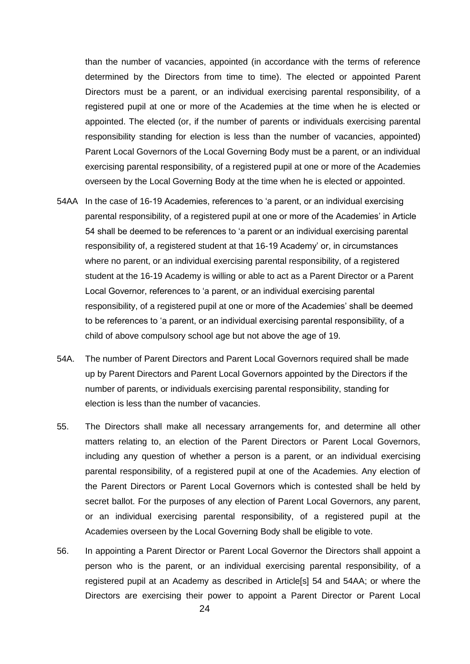than the number of vacancies, appointed (in accordance with the terms of reference determined by the Directors from time to time). The elected or appointed Parent Directors must be a parent, or an individual exercising parental responsibility, of a registered pupil at one or more of the Academies at the time when he is elected or appointed. The elected (or, if the number of parents or individuals exercising parental responsibility standing for election is less than the number of vacancies, appointed) Parent Local Governors of the Local Governing Body must be a parent, or an individual exercising parental responsibility, of a registered pupil at one or more of the Academies overseen by the Local Governing Body at the time when he is elected or appointed.

- 54AA In the case of 16-19 Academies, references to 'a parent, or an individual exercising parental responsibility, of a registered pupil at one or more of the Academies' in Article 54 shall be deemed to be references to 'a parent or an individual exercising parental responsibility of, a registered student at that 16-19 Academy' or, in circumstances where no parent, or an individual exercising parental responsibility, of a registered student at the 16-19 Academy is willing or able to act as a Parent Director or a Parent Local Governor, references to 'a parent, or an individual exercising parental responsibility, of a registered pupil at one or more of the Academies' shall be deemed to be references to 'a parent, or an individual exercising parental responsibility, of a child of above compulsory school age but not above the age of 19.
- 54A. The number of Parent Directors and Parent Local Governors required shall be made up by Parent Directors and Parent Local Governors appointed by the Directors if the number of parents, or individuals exercising parental responsibility, standing for election is less than the number of vacancies.
- 55. The Directors shall make all necessary arrangements for, and determine all other matters relating to, an election of the Parent Directors or Parent Local Governors, including any question of whether a person is a parent, or an individual exercising parental responsibility, of a registered pupil at one of the Academies. Any election of the Parent Directors or Parent Local Governors which is contested shall be held by secret ballot. For the purposes of any election of Parent Local Governors, any parent, or an individual exercising parental responsibility, of a registered pupil at the Academies overseen by the Local Governing Body shall be eligible to vote.
- 56. In appointing a Parent Director or Parent Local Governor the Directors shall appoint a person who is the parent, or an individual exercising parental responsibility, of a registered pupil at an Academy as described in Article[s] 54 and 54AA; or where the Directors are exercising their power to appoint a Parent Director or Parent Local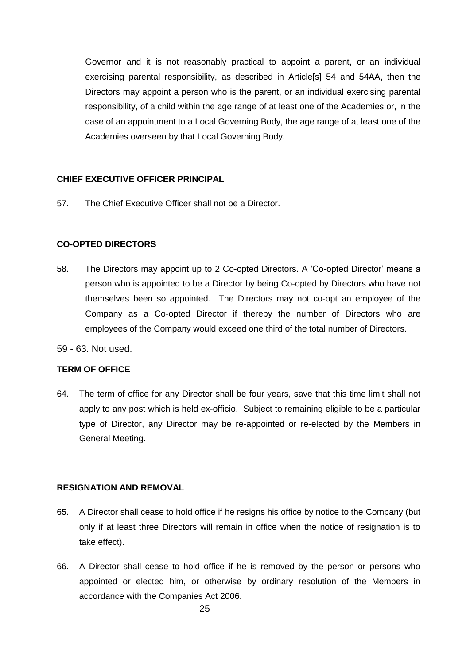Governor and it is not reasonably practical to appoint a parent, or an individual exercising parental responsibility, as described in Article[s] 54 and 54AA, then the Directors may appoint a person who is the parent, or an individual exercising parental responsibility, of a child within the age range of at least one of the Academies or, in the case of an appointment to a Local Governing Body, the age range of at least one of the Academies overseen by that Local Governing Body.

### **CHIEF EXECUTIVE OFFICER PRINCIPAL**

57. The Chief Executive Officer shall not be a Director.

### **CO-OPTED DIRECTORS**

- 58. The Directors may appoint up to 2 Co-opted Directors. A 'Co-opted Director' means a person who is appointed to be a Director by being Co-opted by Directors who have not themselves been so appointed. The Directors may not co-opt an employee of the Company as a Co-opted Director if thereby the number of Directors who are employees of the Company would exceed one third of the total number of Directors.
- 59 63. Not used.

### **TERM OF OFFICE**

64. The term of office for any Director shall be four years, save that this time limit shall not apply to any post which is held ex-officio. Subject to remaining eligible to be a particular type of Director, any Director may be re-appointed or re-elected by the Members in General Meeting.

### **RESIGNATION AND REMOVAL**

- 65. A Director shall cease to hold office if he resigns his office by notice to the Company (but only if at least three Directors will remain in office when the notice of resignation is to take effect).
- 66. A Director shall cease to hold office if he is removed by the person or persons who appointed or elected him, or otherwise by ordinary resolution of the Members in accordance with the Companies Act 2006.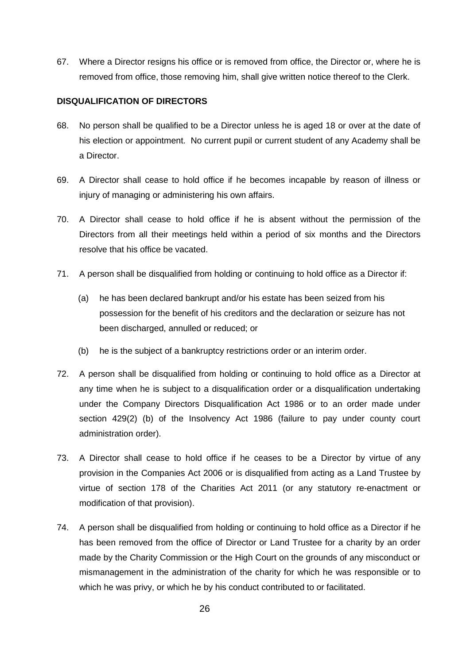67. Where a Director resigns his office or is removed from office, the Director or, where he is removed from office, those removing him, shall give written notice thereof to the Clerk.

### **DISQUALIFICATION OF DIRECTORS**

- 68. No person shall be qualified to be a Director unless he is aged 18 or over at the date of his election or appointment. No current pupil or current student of any Academy shall be a Director.
- 69. A Director shall cease to hold office if he becomes incapable by reason of illness or injury of managing or administering his own affairs.
- 70. A Director shall cease to hold office if he is absent without the permission of the Directors from all their meetings held within a period of six months and the Directors resolve that his office be vacated.
- 71. A person shall be disqualified from holding or continuing to hold office as a Director if:
	- (a) he has been declared bankrupt and/or his estate has been seized from his possession for the benefit of his creditors and the declaration or seizure has not been discharged, annulled or reduced; or
	- (b) he is the subject of a bankruptcy restrictions order or an interim order.
- 72. A person shall be disqualified from holding or continuing to hold office as a Director at any time when he is subject to a disqualification order or a disqualification undertaking under the Company Directors Disqualification Act 1986 or to an order made under section 429(2) (b) of the Insolvency Act 1986 (failure to pay under county court administration order).
- 73. A Director shall cease to hold office if he ceases to be a Director by virtue of any provision in the Companies Act 2006 or is disqualified from acting as a Land Trustee by virtue of section 178 of the Charities Act 2011 (or any statutory re-enactment or modification of that provision).
- 74. A person shall be disqualified from holding or continuing to hold office as a Director if he has been removed from the office of Director or Land Trustee for a charity by an order made by the Charity Commission or the High Court on the grounds of any misconduct or mismanagement in the administration of the charity for which he was responsible or to which he was privy, or which he by his conduct contributed to or facilitated.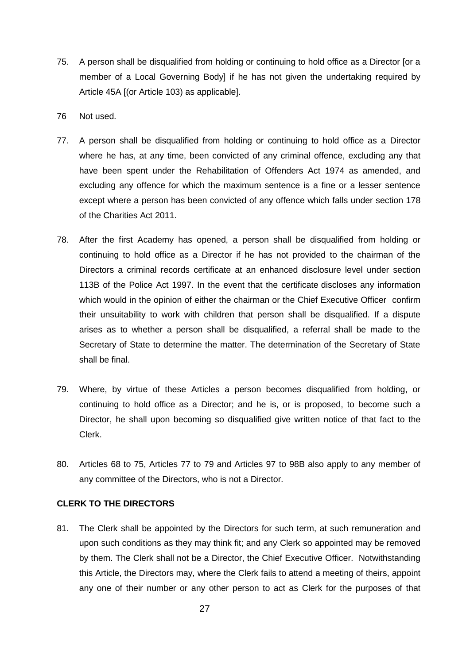- 75. A person shall be disqualified from holding or continuing to hold office as a Director [or a member of a Local Governing Body] if he has not given the undertaking required by Article 45A [(or Article 103) as applicable].
- 76 Not used.
- 77. A person shall be disqualified from holding or continuing to hold office as a Director where he has, at any time, been convicted of any criminal offence, excluding any that have been spent under the Rehabilitation of Offenders Act 1974 as amended, and excluding any offence for which the maximum sentence is a fine or a lesser sentence except where a person has been convicted of any offence which falls under section 178 of the Charities Act 2011.
- 78. After the first Academy has opened, a person shall be disqualified from holding or continuing to hold office as a Director if he has not provided to the chairman of the Directors a criminal records certificate at an enhanced disclosure level under section 113B of the Police Act 1997. In the event that the certificate discloses any information which would in the opinion of either the chairman or the Chief Executive Officer confirm their unsuitability to work with children that person shall be disqualified. If a dispute arises as to whether a person shall be disqualified, a referral shall be made to the Secretary of State to determine the matter. The determination of the Secretary of State shall be final.
- 79. Where, by virtue of these Articles a person becomes disqualified from holding, or continuing to hold office as a Director; and he is, or is proposed, to become such a Director, he shall upon becoming so disqualified give written notice of that fact to the Clerk.
- 80. Articles 68 to 75, Articles 77 to 79 and Articles 97 to 98B also apply to any member of any committee of the Directors, who is not a Director.

### **CLERK TO THE DIRECTORS**

81. The Clerk shall be appointed by the Directors for such term, at such remuneration and upon such conditions as they may think fit; and any Clerk so appointed may be removed by them. The Clerk shall not be a Director, the Chief Executive Officer. Notwithstanding this Article, the Directors may, where the Clerk fails to attend a meeting of theirs, appoint any one of their number or any other person to act as Clerk for the purposes of that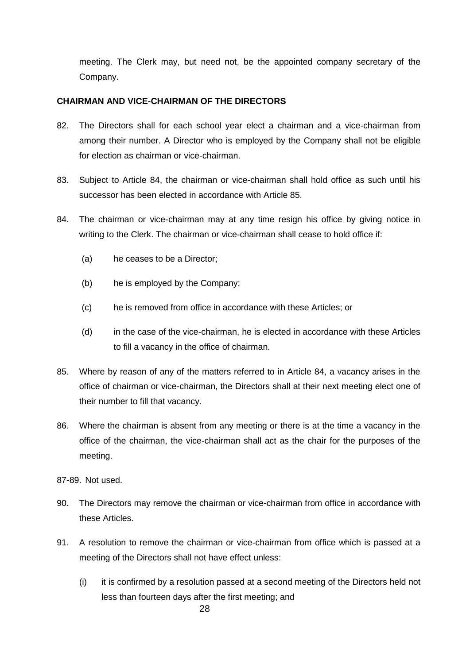meeting. The Clerk may, but need not, be the appointed company secretary of the Company.

### **CHAIRMAN AND VICE-CHAIRMAN OF THE DIRECTORS**

- 82. The Directors shall for each school year elect a chairman and a vice-chairman from among their number. A Director who is employed by the Company shall not be eligible for election as chairman or vice-chairman.
- 83. Subject to Article 84, the chairman or vice-chairman shall hold office as such until his successor has been elected in accordance with Article 85.
- 84. The chairman or vice-chairman may at any time resign his office by giving notice in writing to the Clerk. The chairman or vice-chairman shall cease to hold office if:
	- (a) he ceases to be a Director;
	- (b) he is employed by the Company;
	- (c) he is removed from office in accordance with these Articles; or
	- (d) in the case of the vice-chairman, he is elected in accordance with these Articles to fill a vacancy in the office of chairman.
- 85. Where by reason of any of the matters referred to in Article 84, a vacancy arises in the office of chairman or vice-chairman, the Directors shall at their next meeting elect one of their number to fill that vacancy.
- 86. Where the chairman is absent from any meeting or there is at the time a vacancy in the office of the chairman, the vice-chairman shall act as the chair for the purposes of the meeting.

87-89. Not used.

- 90. The Directors may remove the chairman or vice-chairman from office in accordance with these Articles.
- 91. A resolution to remove the chairman or vice-chairman from office which is passed at a meeting of the Directors shall not have effect unless:
	- (i) it is confirmed by a resolution passed at a second meeting of the Directors held not less than fourteen days after the first meeting; and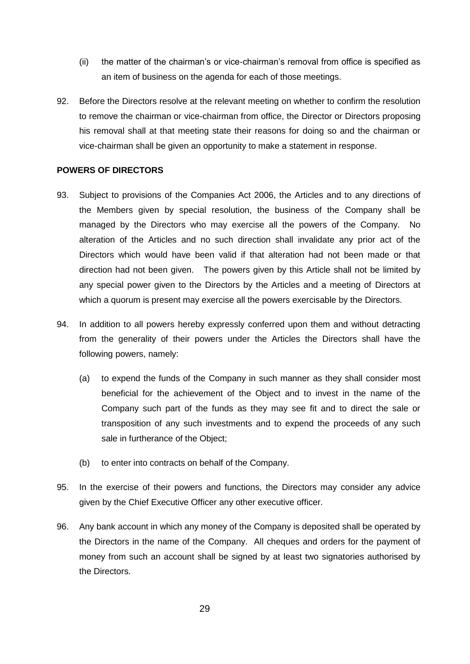- (ii) the matter of the chairman's or vice-chairman's removal from office is specified as an item of business on the agenda for each of those meetings.
- 92. Before the Directors resolve at the relevant meeting on whether to confirm the resolution to remove the chairman or vice-chairman from office, the Director or Directors proposing his removal shall at that meeting state their reasons for doing so and the chairman or vice-chairman shall be given an opportunity to make a statement in response.

#### **POWERS OF DIRECTORS**

- 93. Subject to provisions of the Companies Act 2006, the Articles and to any directions of the Members given by special resolution, the business of the Company shall be managed by the Directors who may exercise all the powers of the Company. No alteration of the Articles and no such direction shall invalidate any prior act of the Directors which would have been valid if that alteration had not been made or that direction had not been given. The powers given by this Article shall not be limited by any special power given to the Directors by the Articles and a meeting of Directors at which a quorum is present may exercise all the powers exercisable by the Directors.
- 94. In addition to all powers hereby expressly conferred upon them and without detracting from the generality of their powers under the Articles the Directors shall have the following powers, namely:
	- (a) to expend the funds of the Company in such manner as they shall consider most beneficial for the achievement of the Object and to invest in the name of the Company such part of the funds as they may see fit and to direct the sale or transposition of any such investments and to expend the proceeds of any such sale in furtherance of the Object;
	- (b) to enter into contracts on behalf of the Company.
- 95. In the exercise of their powers and functions, the Directors may consider any advice given by the Chief Executive Officer any other executive officer.
- 96. Any bank account in which any money of the Company is deposited shall be operated by the Directors in the name of the Company. All cheques and orders for the payment of money from such an account shall be signed by at least two signatories authorised by the Directors.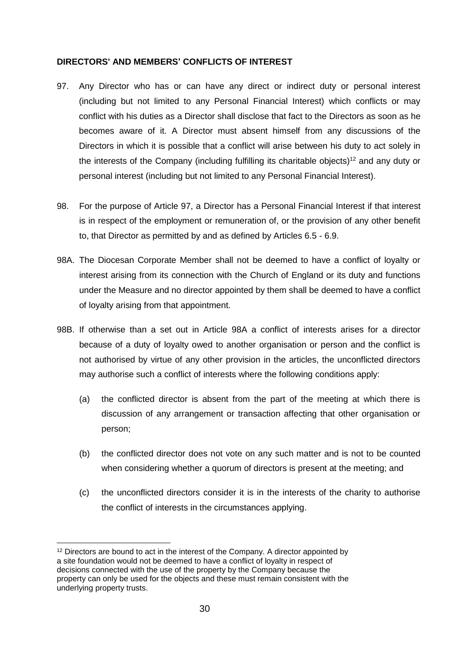#### **DIRECTORS' AND MEMBERS' CONFLICTS OF INTEREST**

- 97. Any Director who has or can have any direct or indirect duty or personal interest (including but not limited to any Personal Financial Interest) which conflicts or may conflict with his duties as a Director shall disclose that fact to the Directors as soon as he becomes aware of it. A Director must absent himself from any discussions of the Directors in which it is possible that a conflict will arise between his duty to act solely in the interests of the Company (including fulfilling its charitable objects)<sup>12</sup> and any duty or personal interest (including but not limited to any Personal Financial Interest).
- 98. For the purpose of Article 97, a Director has a Personal Financial Interest if that interest is in respect of the employment or remuneration of, or the provision of any other benefit to, that Director as permitted by and as defined by Articles 6.5 - 6.9.
- 98A. The Diocesan Corporate Member shall not be deemed to have a conflict of loyalty or interest arising from its connection with the Church of England or its duty and functions under the Measure and no director appointed by them shall be deemed to have a conflict of loyalty arising from that appointment.
- 98B. If otherwise than a set out in Article 98A a conflict of interests arises for a director because of a duty of loyalty owed to another organisation or person and the conflict is not authorised by virtue of any other provision in the articles, the unconflicted directors may authorise such a conflict of interests where the following conditions apply:
	- (a) the conflicted director is absent from the part of the meeting at which there is discussion of any arrangement or transaction affecting that other organisation or person;
	- (b) the conflicted director does not vote on any such matter and is not to be counted when considering whether a quorum of directors is present at the meeting; and
	- (c) the unconflicted directors consider it is in the interests of the charity to authorise the conflict of interests in the circumstances applying.

1

 $12$  Directors are bound to act in the interest of the Company. A director appointed by a site foundation would not be deemed to have a conflict of loyalty in respect of decisions connected with the use of the property by the Company because the property can only be used for the objects and these must remain consistent with the underlying property trusts.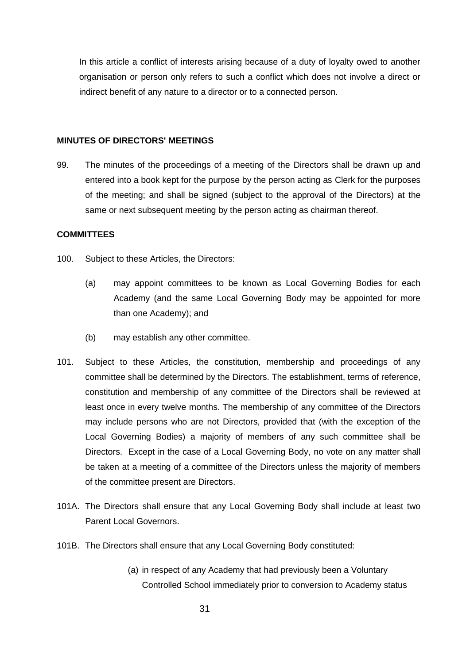In this article a conflict of interests arising because of a duty of loyalty owed to another organisation or person only refers to such a conflict which does not involve a direct or indirect benefit of any nature to a director or to a connected person.

#### **MINUTES OF DIRECTORS' MEETINGS**

99. The minutes of the proceedings of a meeting of the Directors shall be drawn up and entered into a book kept for the purpose by the person acting as Clerk for the purposes of the meeting; and shall be signed (subject to the approval of the Directors) at the same or next subsequent meeting by the person acting as chairman thereof.

#### **COMMITTEES**

- 100. Subject to these Articles, the Directors:
	- (a) may appoint committees to be known as Local Governing Bodies for each Academy (and the same Local Governing Body may be appointed for more than one Academy); and
	- (b) may establish any other committee.
- 101. Subject to these Articles, the constitution, membership and proceedings of any committee shall be determined by the Directors. The establishment, terms of reference, constitution and membership of any committee of the Directors shall be reviewed at least once in every twelve months. The membership of any committee of the Directors may include persons who are not Directors, provided that (with the exception of the Local Governing Bodies) a majority of members of any such committee shall be Directors. Except in the case of a Local Governing Body, no vote on any matter shall be taken at a meeting of a committee of the Directors unless the majority of members of the committee present are Directors.
- 101A. The Directors shall ensure that any Local Governing Body shall include at least two Parent Local Governors.
- 101B. The Directors shall ensure that any Local Governing Body constituted:
	- (a) in respect of any Academy that had previously been a Voluntary Controlled School immediately prior to conversion to Academy status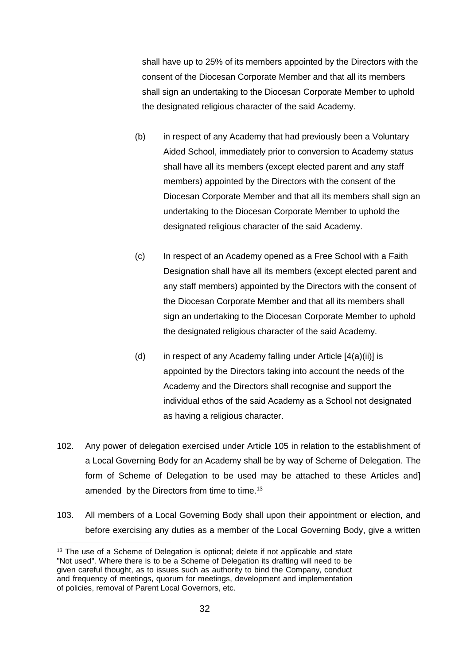shall have up to 25% of its members appointed by the Directors with the consent of the Diocesan Corporate Member and that all its members shall sign an undertaking to the Diocesan Corporate Member to uphold the designated religious character of the said Academy.

- (b) in respect of any Academy that had previously been a Voluntary Aided School, immediately prior to conversion to Academy status shall have all its members (except elected parent and any staff members) appointed by the Directors with the consent of the Diocesan Corporate Member and that all its members shall sign an undertaking to the Diocesan Corporate Member to uphold the designated religious character of the said Academy.
- (c) In respect of an Academy opened as a Free School with a Faith Designation shall have all its members (except elected parent and any staff members) appointed by the Directors with the consent of the Diocesan Corporate Member and that all its members shall sign an undertaking to the Diocesan Corporate Member to uphold the designated religious character of the said Academy.
- (d) in respect of any Academy falling under Article  $[4(a)(ii)]$  is appointed by the Directors taking into account the needs of the Academy and the Directors shall recognise and support the individual ethos of the said Academy as a School not designated as having a religious character.
- 102. Any power of delegation exercised under Article 105 in relation to the establishment of a Local Governing Body for an Academy shall be by way of Scheme of Delegation. The form of Scheme of Delegation to be used may be attached to these Articles and] amended by the Directors from time to time.<sup>13</sup>
- 103. All members of a Local Governing Body shall upon their appointment or election, and before exercising any duties as a member of the Local Governing Body, give a written

1

<sup>&</sup>lt;sup>13</sup> The use of a Scheme of Delegation is optional; delete if not applicable and state "Not used". Where there is to be a Scheme of Delegation its drafting will need to be given careful thought, as to issues such as authority to bind the Company, conduct and frequency of meetings, quorum for meetings, development and implementation of policies, removal of Parent Local Governors, etc.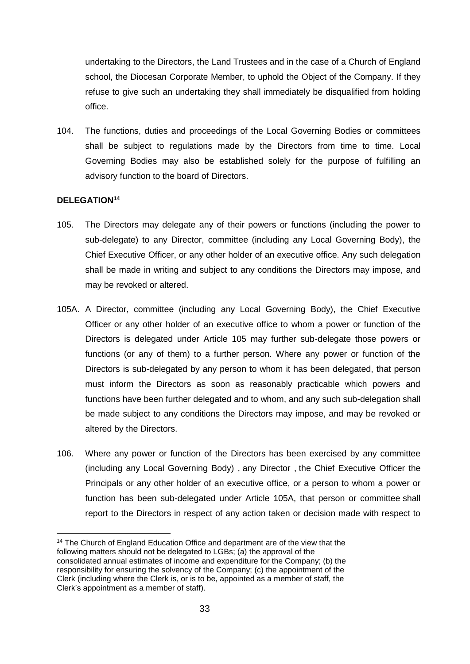undertaking to the Directors, the Land Trustees and in the case of a Church of England school, the Diocesan Corporate Member, to uphold the Object of the Company. If they refuse to give such an undertaking they shall immediately be disqualified from holding office.

104. The functions, duties and proceedings of the Local Governing Bodies or committees shall be subject to regulations made by the Directors from time to time. Local Governing Bodies may also be established solely for the purpose of fulfilling an advisory function to the board of Directors.

### **DELEGATION<sup>14</sup>**

- 105. The Directors may delegate any of their powers or functions (including the power to sub-delegate) to any Director, committee (including any Local Governing Body), the Chief Executive Officer, or any other holder of an executive office. Any such delegation shall be made in writing and subject to any conditions the Directors may impose, and may be revoked or altered.
- 105A. A Director, committee (including any Local Governing Body), the Chief Executive Officer or any other holder of an executive office to whom a power or function of the Directors is delegated under Article 105 may further sub-delegate those powers or functions (or any of them) to a further person. Where any power or function of the Directors is sub-delegated by any person to whom it has been delegated, that person must inform the Directors as soon as reasonably practicable which powers and functions have been further delegated and to whom, and any such sub-delegation shall be made subject to any conditions the Directors may impose, and may be revoked or altered by the Directors.
- 106. Where any power or function of the Directors has been exercised by any committee (including any Local Governing Body) , any Director , the Chief Executive Officer the Principals or any other holder of an executive office, or a person to whom a power or function has been sub-delegated under Article 105A, that person or committee shall report to the Directors in respect of any action taken or decision made with respect to

<sup>1</sup> <sup>14</sup> The Church of England Education Office and department are of the view that the following matters should not be delegated to LGBs; (a) the approval of the consolidated annual estimates of income and expenditure for the Company; (b) the responsibility for ensuring the solvency of the Company; (c) the appointment of the Clerk (including where the Clerk is, or is to be, appointed as a member of staff, the Clerk's appointment as a member of staff).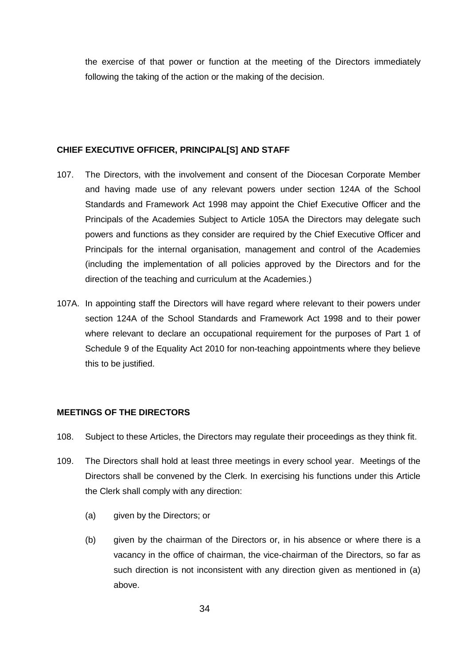the exercise of that power or function at the meeting of the Directors immediately following the taking of the action or the making of the decision.

#### **CHIEF EXECUTIVE OFFICER, PRINCIPAL[S] AND STAFF**

- 107. The Directors, with the involvement and consent of the Diocesan Corporate Member and having made use of any relevant powers under section 124A of the School Standards and Framework Act 1998 may appoint the Chief Executive Officer and the Principals of the Academies Subject to Article 105A the Directors may delegate such powers and functions as they consider are required by the Chief Executive Officer and Principals for the internal organisation, management and control of the Academies (including the implementation of all policies approved by the Directors and for the direction of the teaching and curriculum at the Academies.)
- 107A. In appointing staff the Directors will have regard where relevant to their powers under section 124A of the School Standards and Framework Act 1998 and to their power where relevant to declare an occupational requirement for the purposes of Part 1 of Schedule 9 of the Equality Act 2010 for non-teaching appointments where they believe this to be justified.

### **MEETINGS OF THE DIRECTORS**

- 108. Subject to these Articles, the Directors may regulate their proceedings as they think fit.
- 109. The Directors shall hold at least three meetings in every school year. Meetings of the Directors shall be convened by the Clerk. In exercising his functions under this Article the Clerk shall comply with any direction:
	- (a) given by the Directors; or
	- (b) given by the chairman of the Directors or, in his absence or where there is a vacancy in the office of chairman, the vice-chairman of the Directors, so far as such direction is not inconsistent with any direction given as mentioned in (a) above.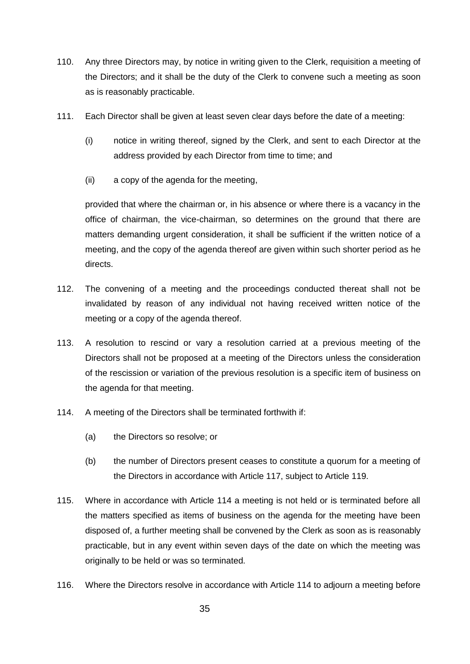- 110. Any three Directors may, by notice in writing given to the Clerk, requisition a meeting of the Directors; and it shall be the duty of the Clerk to convene such a meeting as soon as is reasonably practicable.
- 111. Each Director shall be given at least seven clear days before the date of a meeting:
	- (i) notice in writing thereof, signed by the Clerk, and sent to each Director at the address provided by each Director from time to time; and
	- (ii) a copy of the agenda for the meeting,

provided that where the chairman or, in his absence or where there is a vacancy in the office of chairman, the vice-chairman, so determines on the ground that there are matters demanding urgent consideration, it shall be sufficient if the written notice of a meeting, and the copy of the agenda thereof are given within such shorter period as he directs.

- 112. The convening of a meeting and the proceedings conducted thereat shall not be invalidated by reason of any individual not having received written notice of the meeting or a copy of the agenda thereof.
- 113. A resolution to rescind or vary a resolution carried at a previous meeting of the Directors shall not be proposed at a meeting of the Directors unless the consideration of the rescission or variation of the previous resolution is a specific item of business on the agenda for that meeting.
- 114. A meeting of the Directors shall be terminated forthwith if:
	- (a) the Directors so resolve; or
	- (b) the number of Directors present ceases to constitute a quorum for a meeting of the Directors in accordance with Article 117, subject to Article 119.
- 115. Where in accordance with Article 114 a meeting is not held or is terminated before all the matters specified as items of business on the agenda for the meeting have been disposed of, a further meeting shall be convened by the Clerk as soon as is reasonably practicable, but in any event within seven days of the date on which the meeting was originally to be held or was so terminated.
- 116. Where the Directors resolve in accordance with Article 114 to adjourn a meeting before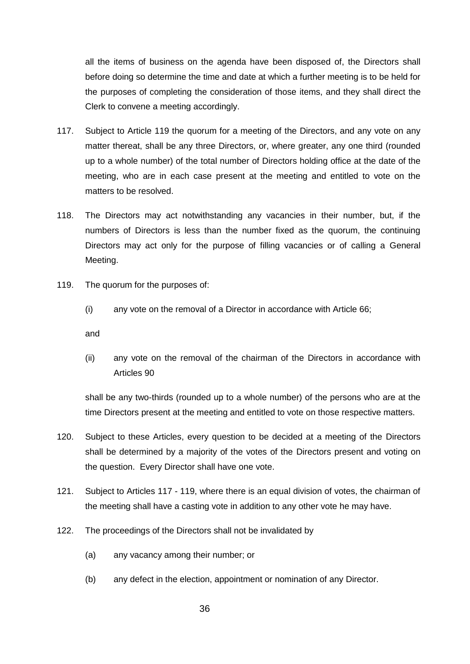all the items of business on the agenda have been disposed of, the Directors shall before doing so determine the time and date at which a further meeting is to be held for the purposes of completing the consideration of those items, and they shall direct the Clerk to convene a meeting accordingly.

- 117. Subject to Article 119 the quorum for a meeting of the Directors, and any vote on any matter thereat, shall be any three Directors, or, where greater, any one third (rounded up to a whole number) of the total number of Directors holding office at the date of the meeting, who are in each case present at the meeting and entitled to vote on the matters to be resolved.
- 118. The Directors may act notwithstanding any vacancies in their number, but, if the numbers of Directors is less than the number fixed as the quorum, the continuing Directors may act only for the purpose of filling vacancies or of calling a General Meeting.
- 119. The quorum for the purposes of:
	- (i) any vote on the removal of a Director in accordance with Article 66;

and

(ii) any vote on the removal of the chairman of the Directors in accordance with Articles 90

shall be any two-thirds (rounded up to a whole number) of the persons who are at the time Directors present at the meeting and entitled to vote on those respective matters.

- 120. Subject to these Articles, every question to be decided at a meeting of the Directors shall be determined by a majority of the votes of the Directors present and voting on the question. Every Director shall have one vote.
- 121. Subject to Articles 117 119, where there is an equal division of votes, the chairman of the meeting shall have a casting vote in addition to any other vote he may have.
- 122. The proceedings of the Directors shall not be invalidated by
	- (a) any vacancy among their number; or
	- (b) any defect in the election, appointment or nomination of any Director.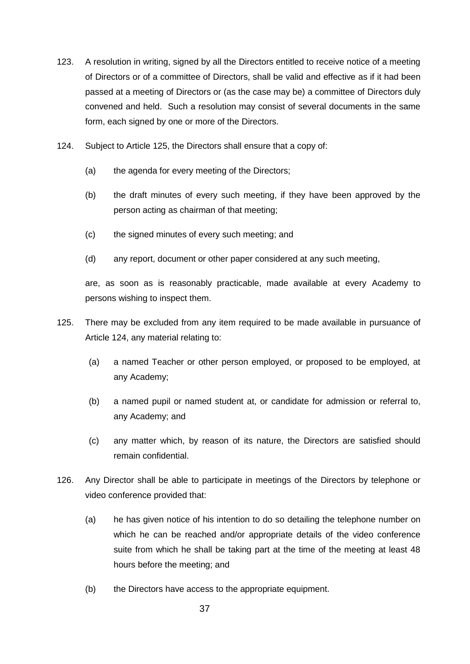- 123. A resolution in writing, signed by all the Directors entitled to receive notice of a meeting of Directors or of a committee of Directors, shall be valid and effective as if it had been passed at a meeting of Directors or (as the case may be) a committee of Directors duly convened and held. Such a resolution may consist of several documents in the same form, each signed by one or more of the Directors.
- 124. Subject to Article 125, the Directors shall ensure that a copy of:
	- (a) the agenda for every meeting of the Directors;
	- (b) the draft minutes of every such meeting, if they have been approved by the person acting as chairman of that meeting;
	- (c) the signed minutes of every such meeting; and
	- (d) any report, document or other paper considered at any such meeting,

are, as soon as is reasonably practicable, made available at every Academy to persons wishing to inspect them.

- 125. There may be excluded from any item required to be made available in pursuance of Article 124, any material relating to:
	- (a) a named Teacher or other person employed, or proposed to be employed, at any Academy;
	- (b) a named pupil or named student at, or candidate for admission or referral to, any Academy; and
	- (c) any matter which, by reason of its nature, the Directors are satisfied should remain confidential.
- 126. Any Director shall be able to participate in meetings of the Directors by telephone or video conference provided that:
	- (a) he has given notice of his intention to do so detailing the telephone number on which he can be reached and/or appropriate details of the video conference suite from which he shall be taking part at the time of the meeting at least 48 hours before the meeting; and
	- (b) the Directors have access to the appropriate equipment.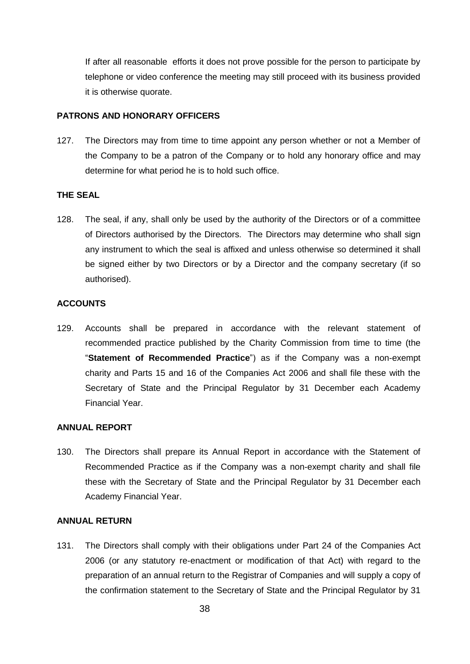If after all reasonable efforts it does not prove possible for the person to participate by telephone or video conference the meeting may still proceed with its business provided it is otherwise quorate.

#### **PATRONS AND HONORARY OFFICERS**

127. The Directors may from time to time appoint any person whether or not a Member of the Company to be a patron of the Company or to hold any honorary office and may determine for what period he is to hold such office.

#### **THE SEAL**

128. The seal, if any, shall only be used by the authority of the Directors or of a committee of Directors authorised by the Directors. The Directors may determine who shall sign any instrument to which the seal is affixed and unless otherwise so determined it shall be signed either by two Directors or by a Director and the company secretary (if so authorised).

#### **ACCOUNTS**

129. Accounts shall be prepared in accordance with the relevant statement of recommended practice published by the Charity Commission from time to time (the "**Statement of Recommended Practice**") as if the Company was a non-exempt charity and Parts 15 and 16 of the Companies Act 2006 and shall file these with the Secretary of State and the Principal Regulator by 31 December each Academy Financial Year.

### **ANNUAL REPORT**

130. The Directors shall prepare its Annual Report in accordance with the Statement of Recommended Practice as if the Company was a non-exempt charity and shall file these with the Secretary of State and the Principal Regulator by 31 December each Academy Financial Year.

#### **ANNUAL RETURN**

131. The Directors shall comply with their obligations under Part 24 of the Companies Act 2006 (or any statutory re-enactment or modification of that Act) with regard to the preparation of an annual return to the Registrar of Companies and will supply a copy of the confirmation statement to the Secretary of State and the Principal Regulator by 31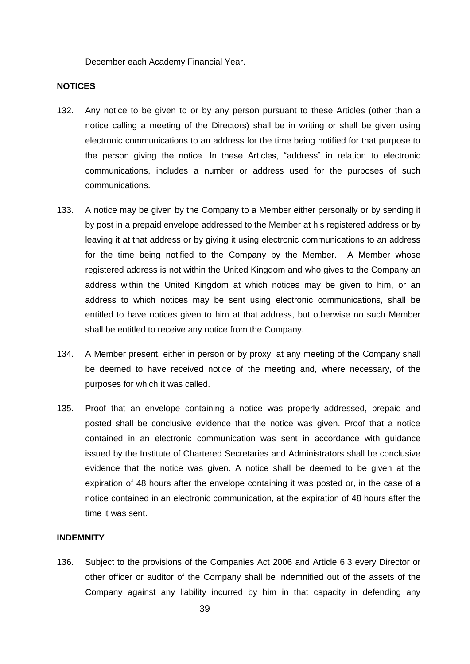December each Academy Financial Year.

#### **NOTICES**

- 132. Any notice to be given to or by any person pursuant to these Articles (other than a notice calling a meeting of the Directors) shall be in writing or shall be given using electronic communications to an address for the time being notified for that purpose to the person giving the notice. In these Articles, "address" in relation to electronic communications, includes a number or address used for the purposes of such communications.
- 133. A notice may be given by the Company to a Member either personally or by sending it by post in a prepaid envelope addressed to the Member at his registered address or by leaving it at that address or by giving it using electronic communications to an address for the time being notified to the Company by the Member. A Member whose registered address is not within the United Kingdom and who gives to the Company an address within the United Kingdom at which notices may be given to him, or an address to which notices may be sent using electronic communications, shall be entitled to have notices given to him at that address, but otherwise no such Member shall be entitled to receive any notice from the Company.
- 134. A Member present, either in person or by proxy, at any meeting of the Company shall be deemed to have received notice of the meeting and, where necessary, of the purposes for which it was called.
- 135. Proof that an envelope containing a notice was properly addressed, prepaid and posted shall be conclusive evidence that the notice was given. Proof that a notice contained in an electronic communication was sent in accordance with guidance issued by the Institute of Chartered Secretaries and Administrators shall be conclusive evidence that the notice was given. A notice shall be deemed to be given at the expiration of 48 hours after the envelope containing it was posted or, in the case of a notice contained in an electronic communication, at the expiration of 48 hours after the time it was sent.

#### **INDEMNITY**

136. Subject to the provisions of the Companies Act 2006 and Article 6.3 every Director or other officer or auditor of the Company shall be indemnified out of the assets of the Company against any liability incurred by him in that capacity in defending any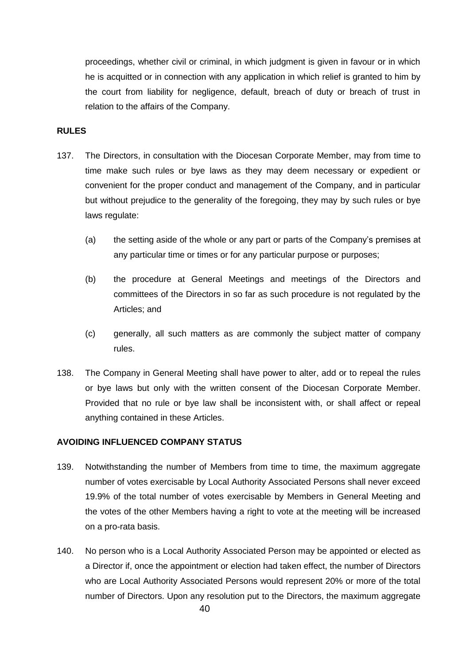proceedings, whether civil or criminal, in which judgment is given in favour or in which he is acquitted or in connection with any application in which relief is granted to him by the court from liability for negligence, default, breach of duty or breach of trust in relation to the affairs of the Company.

#### **RULES**

- 137. The Directors, in consultation with the Diocesan Corporate Member, may from time to time make such rules or bye laws as they may deem necessary or expedient or convenient for the proper conduct and management of the Company, and in particular but without prejudice to the generality of the foregoing, they may by such rules or bye laws regulate:
	- (a) the setting aside of the whole or any part or parts of the Company's premises at any particular time or times or for any particular purpose or purposes;
	- (b) the procedure at General Meetings and meetings of the Directors and committees of the Directors in so far as such procedure is not regulated by the Articles; and
	- (c) generally, all such matters as are commonly the subject matter of company rules.
- 138. The Company in General Meeting shall have power to alter, add or to repeal the rules or bye laws but only with the written consent of the Diocesan Corporate Member. Provided that no rule or bye law shall be inconsistent with, or shall affect or repeal anything contained in these Articles.

### **AVOIDING INFLUENCED COMPANY STATUS**

- 139. Notwithstanding the number of Members from time to time, the maximum aggregate number of votes exercisable by Local Authority Associated Persons shall never exceed 19.9% of the total number of votes exercisable by Members in General Meeting and the votes of the other Members having a right to vote at the meeting will be increased on a pro-rata basis.
- 140. No person who is a Local Authority Associated Person may be appointed or elected as a Director if, once the appointment or election had taken effect, the number of Directors who are Local Authority Associated Persons would represent 20% or more of the total number of Directors. Upon any resolution put to the Directors, the maximum aggregate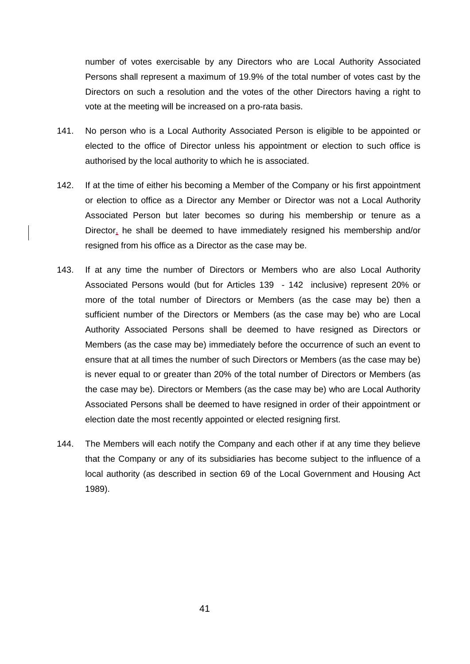number of votes exercisable by any Directors who are Local Authority Associated Persons shall represent a maximum of 19.9% of the total number of votes cast by the Directors on such a resolution and the votes of the other Directors having a right to vote at the meeting will be increased on a pro-rata basis.

- 141. No person who is a Local Authority Associated Person is eligible to be appointed or elected to the office of Director unless his appointment or election to such office is authorised by the local authority to which he is associated.
- 142. If at the time of either his becoming a Member of the Company or his first appointment or election to office as a Director any Member or Director was not a Local Authority Associated Person but later becomes so during his membership or tenure as a Director, he shall be deemed to have immediately resigned his membership and/or resigned from his office as a Director as the case may be.
- 143. If at any time the number of Directors or Members who are also Local Authority Associated Persons would (but for Articles 139 - 142 inclusive) represent 20% or more of the total number of Directors or Members (as the case may be) then a sufficient number of the Directors or Members (as the case may be) who are Local Authority Associated Persons shall be deemed to have resigned as Directors or Members (as the case may be) immediately before the occurrence of such an event to ensure that at all times the number of such Directors or Members (as the case may be) is never equal to or greater than 20% of the total number of Directors or Members (as the case may be). Directors or Members (as the case may be) who are Local Authority Associated Persons shall be deemed to have resigned in order of their appointment or election date the most recently appointed or elected resigning first.
- 144. The Members will each notify the Company and each other if at any time they believe that the Company or any of its subsidiaries has become subject to the influence of a local authority (as described in section 69 of the Local Government and Housing Act 1989).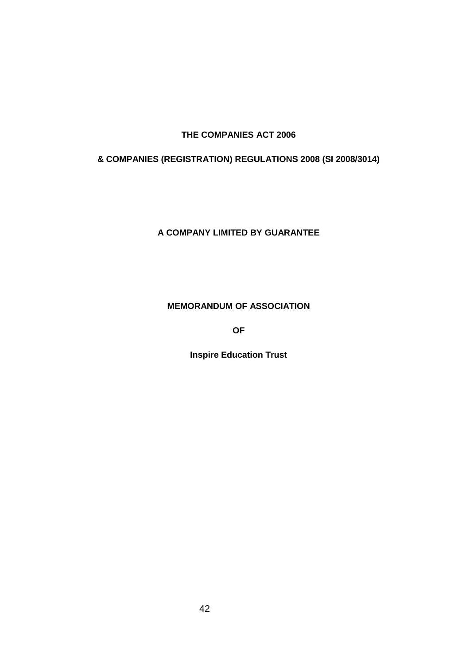# **THE COMPANIES ACT 2006**

# **& COMPANIES (REGISTRATION) REGULATIONS 2008 (SI 2008/3014)**

**A COMPANY LIMITED BY GUARANTEE**

### **MEMORANDUM OF ASSOCIATION**

**OF**

**Inspire Education Trust**